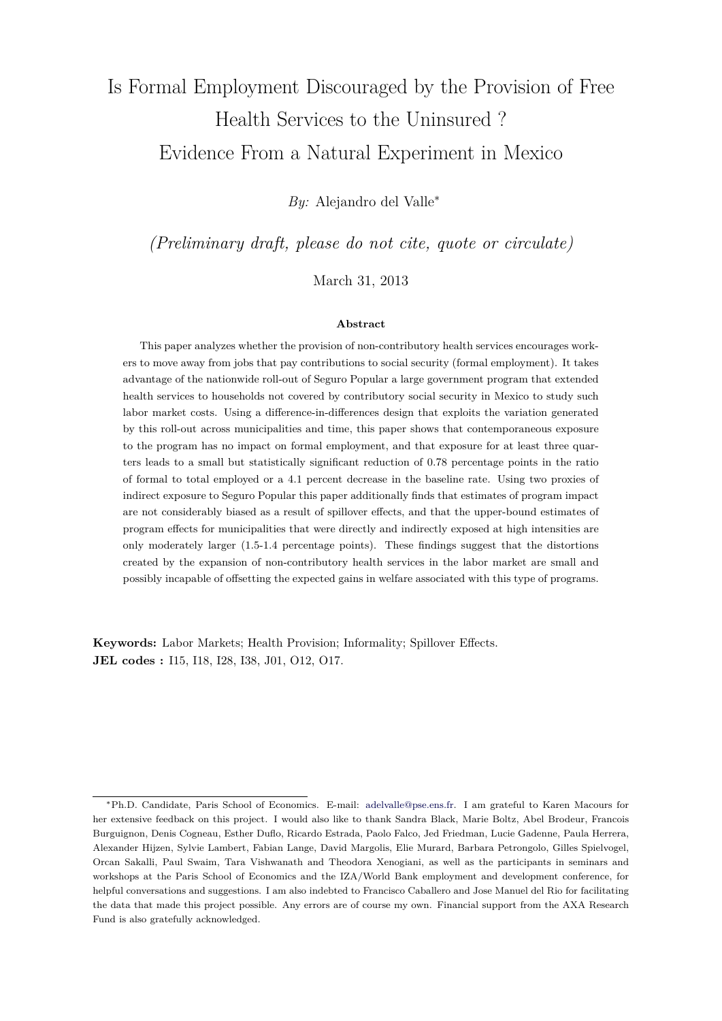# <span id="page-0-0"></span>Is Formal Employment Discouraged by the Provision of Free Health Services to the Uninsured ? Evidence From a Natural Experiment in Mexico

*By:* Alejandro del Valle<sup>∗</sup>

*(Preliminary draft, please do not cite, quote or circulate)*

March 31, 2013

#### **Abstract**

This paper analyzes whether the provision of non-contributory health services encourages workers to move away from jobs that pay contributions to social security (formal employment). It takes advantage of the nationwide roll-out of Seguro Popular a large government program that extended health services to households not covered by contributory social security in Mexico to study such labor market costs. Using a difference-in-differences design that exploits the variation generated by this roll-out across municipalities and time, this paper shows that contemporaneous exposure to the program has no impact on formal employment, and that exposure for at least three quarters leads to a small but statistically significant reduction of 0.78 percentage points in the ratio of formal to total employed or a 4.1 percent decrease in the baseline rate. Using two proxies of indirect exposure to Seguro Popular this paper additionally finds that estimates of program impact are not considerably biased as a result of spillover effects, and that the upper-bound estimates of program effects for municipalities that were directly and indirectly exposed at high intensities are only moderately larger (1.5-1.4 percentage points). These findings suggest that the distortions created by the expansion of non-contributory health services in the labor market are small and possibly incapable of offsetting the expected gains in welfare associated with this type of programs.

**Keywords:** Labor Markets; Health Provision; Informality; Spillover Effects. **JEL codes :** I15, I18, I28, I38, J01, O12, O17.

<sup>∗</sup>Ph.D. Candidate, Paris School of Economics. E-mail: [adelvalle@pse.ens.fr.](adelvalle@pse.ens.fr) I am grateful to Karen Macours for her extensive feedback on this project. I would also like to thank Sandra Black, Marie Boltz, Abel Brodeur, Francois Burguignon, Denis Cogneau, Esther Duflo, Ricardo Estrada, Paolo Falco, Jed Friedman, Lucie Gadenne, Paula Herrera, Alexander Hijzen, Sylvie Lambert, Fabian Lange, David Margolis, Elie Murard, Barbara Petrongolo, Gilles Spielvogel, Orcan Sakalli, Paul Swaim, Tara Vishwanath and Theodora Xenogiani, as well as the participants in seminars and workshops at the Paris School of Economics and the IZA/World Bank employment and development conference, for helpful conversations and suggestions. I am also indebted to Francisco Caballero and Jose Manuel del Rio for facilitating the data that made this project possible. Any errors are of course my own. Financial support from the AXA Research Fund is also gratefully acknowledged.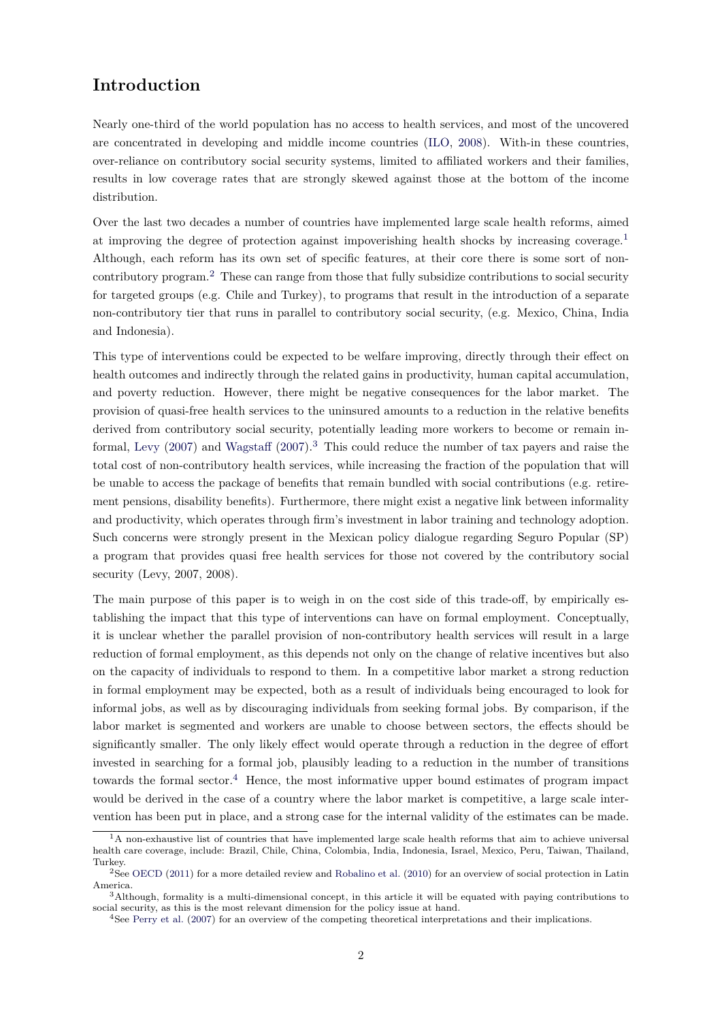## **Introduction**

Nearly one-third of the world population has no access to health services, and most of the uncovered are concentrated in developing and middle income countries [\(ILO,](#page-28-0) [2008\)](#page-28-0). With-in these countries, over-reliance on contributory social security systems, limited to affiliated workers and their families, results in low coverage rates that are strongly skewed against those at the bottom of the income distribution.

Over the last two decades a number of countries have implemented large scale health reforms, aimed at improving the degree of protection against impoverishing health shocks by increasing coverage.[1](#page-0-0) Although, each reform has its own set of specific features, at their core there is some sort of noncontributory program.[2](#page-0-0) These can range from those that fully subsidize contributions to social security for targeted groups (e.g. Chile and Turkey), to programs that result in the introduction of a separate non-contributory tier that runs in parallel to contributory social security, (e.g. Mexico, China, India and Indonesia).

This type of interventions could be expected to be welfare improving, directly through their effect on health outcomes and indirectly through the related gains in productivity, human capital accumulation, and poverty reduction. However, there might be negative consequences for the labor market. The provision of quasi-free health services to the uninsured amounts to a reduction in the relative benefits derived from contributory social security, potentially leading more workers to become or remain in-formal, [Levy](#page-28-1)  $(2007)$  and [Wagstaff](#page-28-2)  $(2007).<sup>3</sup>$  $(2007).<sup>3</sup>$  $(2007).<sup>3</sup>$  This could reduce the number of tax payers and raise the total cost of non-contributory health services, while increasing the fraction of the population that will be unable to access the package of benefits that remain bundled with social contributions (e.g. retirement pensions, disability benefits). Furthermore, there might exist a negative link between informality and productivity, which operates through firm's investment in labor training and technology adoption. Such concerns were strongly present in the Mexican policy dialogue regarding Seguro Popular (SP) a program that provides quasi free health services for those not covered by the contributory social security (Levy, 2007, 2008).

The main purpose of this paper is to weigh in on the cost side of this trade-off, by empirically establishing the impact that this type of interventions can have on formal employment. Conceptually, it is unclear whether the parallel provision of non-contributory health services will result in a large reduction of formal employment, as this depends not only on the change of relative incentives but also on the capacity of individuals to respond to them. In a competitive labor market a strong reduction in formal employment may be expected, both as a result of individuals being encouraged to look for informal jobs, as well as by discouraging individuals from seeking formal jobs. By comparison, if the labor market is segmented and workers are unable to choose between sectors, the effects should be significantly smaller. The only likely effect would operate through a reduction in the degree of effort invested in searching for a formal job, plausibly leading to a reduction in the number of transitions towards the formal sector.<sup>[4](#page-0-0)</sup> Hence, the most informative upper bound estimates of program impact would be derived in the case of a country where the labor market is competitive, a large scale intervention has been put in place, and a strong case for the internal validity of the estimates can be made.

 $1A$  non-exhaustive list of countries that have implemented large scale health reforms that aim to achieve universal health care coverage, include: Brazil, Chile, China, Colombia, India, Indonesia, Israel, Mexico, Peru, Taiwan, Thailand, Turkey.

<sup>2</sup>See [OECD](#page-28-3) [\(2011\)](#page-28-3) for a more detailed review and [Robalino et al.](#page-28-4) [\(2010\)](#page-28-4) for an overview of social protection in Latin America.

<sup>3</sup>Although, formality is a multi-dimensional concept, in this article it will be equated with paying contributions to social security, as this is the most relevant dimension for the policy issue at hand.

<sup>4</sup>See [Perry et al.](#page-28-5) [\(2007\)](#page-28-5) for an overview of the competing theoretical interpretations and their implications.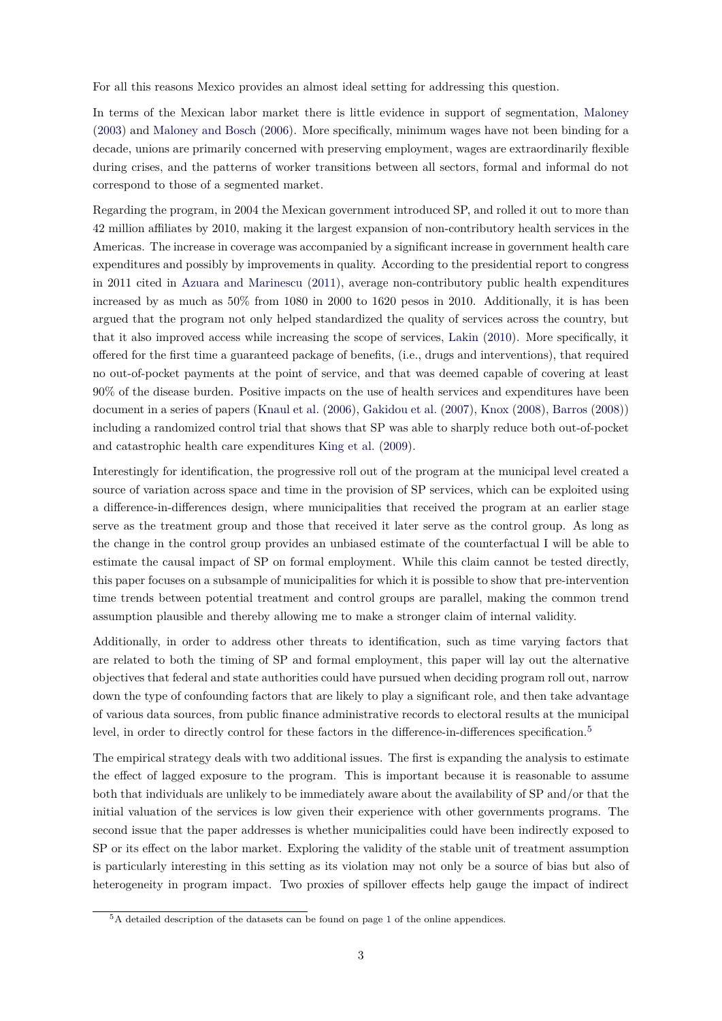For all this reasons Mexico provides an almost ideal setting for addressing this question.

In terms of the Mexican labor market there is little evidence in support of segmentation, [Maloney](#page-28-6) [\(2003\)](#page-28-6) and [Maloney and Bosch](#page-28-7) [\(2006\)](#page-28-7). More specifically, minimum wages have not been binding for a decade, unions are primarily concerned with preserving employment, wages are extraordinarily flexible during crises, and the patterns of worker transitions between all sectors, formal and informal do not correspond to those of a segmented market.

Regarding the program, in 2004 the Mexican government introduced SP, and rolled it out to more than 42 million affiliates by 2010, making it the largest expansion of non-contributory health services in the Americas. The increase in coverage was accompanied by a significant increase in government health care expenditures and possibly by improvements in quality. According to the presidential report to congress in 2011 cited in [Azuara and Marinescu](#page-27-0) [\(2011\)](#page-27-0), average non-contributory public health expenditures increased by as much as 50% from 1080 in 2000 to 1620 pesos in 2010. Additionally, it is has been argued that the program not only helped standardized the quality of services across the country, but that it also improved access while increasing the scope of services, [Lakin](#page-28-8) [\(2010\)](#page-28-8). More specifically, it offered for the first time a guaranteed package of benefits, (i.e., drugs and interventions), that required no out-of-pocket payments at the point of service, and that was deemed capable of covering at least 90% of the disease burden. Positive impacts on the use of health services and expenditures have been document in a series of papers [\(Knaul et al.](#page-28-9) [\(2006\)](#page-28-9), [Gakidou et al.](#page-27-1) [\(2007\)](#page-27-1), [Knox](#page-28-10) [\(2008\)](#page-28-10), [Barros](#page-27-2) [\(2008\)](#page-27-2)) including a randomized control trial that shows that SP was able to sharply reduce both out-of-pocket and catastrophic health care expenditures [King et al.](#page-28-11) [\(2009\)](#page-28-11).

Interestingly for identification, the progressive roll out of the program at the municipal level created a source of variation across space and time in the provision of SP services, which can be exploited using a difference-in-differences design, where municipalities that received the program at an earlier stage serve as the treatment group and those that received it later serve as the control group. As long as the change in the control group provides an unbiased estimate of the counterfactual I will be able to estimate the causal impact of SP on formal employment. While this claim cannot be tested directly, this paper focuses on a subsample of municipalities for which it is possible to show that pre-intervention time trends between potential treatment and control groups are parallel, making the common trend assumption plausible and thereby allowing me to make a stronger claim of internal validity.

Additionally, in order to address other threats to identification, such as time varying factors that are related to both the timing of SP and formal employment, this paper will lay out the alternative objectives that federal and state authorities could have pursued when deciding program roll out, narrow down the type of confounding factors that are likely to play a significant role, and then take advantage of various data sources, from public finance administrative records to electoral results at the municipal level, in order to directly control for these factors in the difference-in-differences specification.<sup>[5](#page-0-0)</sup>

The empirical strategy deals with two additional issues. The first is expanding the analysis to estimate the effect of lagged exposure to the program. This is important because it is reasonable to assume both that individuals are unlikely to be immediately aware about the availability of SP and/or that the initial valuation of the services is low given their experience with other governments programs. The second issue that the paper addresses is whether municipalities could have been indirectly exposed to SP or its effect on the labor market. Exploring the validity of the stable unit of treatment assumption is particularly interesting in this setting as its violation may not only be a source of bias but also of heterogeneity in program impact. Two proxies of spillover effects help gauge the impact of indirect

<sup>5</sup>A detailed description of the datasets can be found on page [1](http://www.parisschoolofeconomics.eu/docs/del-valle-suarez-alejandro/appendices_res.pdf#section.1) of the online appendices.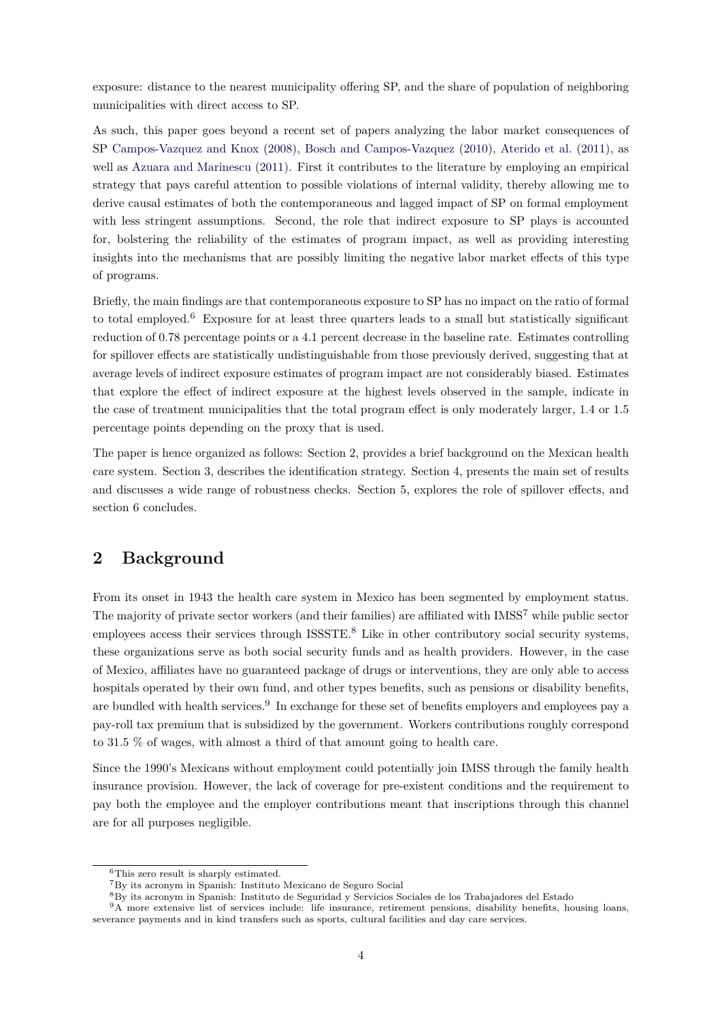exposure: distance to the nearest municipality offering SP, and the share of population of neighboring municipalities with direct access to SP.

As such, this paper goes beyond a recent set of papers analyzing the labor market consequences of SP [Campos-Vazquez and Knox](#page-27-3) [\(2008\)](#page-27-3), [Bosch and Campos-Vazquez](#page-27-4) [\(2010\)](#page-27-4), [Aterido et al.](#page-27-5) [\(2011\)](#page-27-5), as well as [Azuara and Marinescu](#page-27-0) [\(2011\)](#page-27-0). First it contributes to the literature by employing an empirical strategy that pays careful attention to possible violations of internal validity, thereby allowing me to derive causal estimates of both the contemporaneous and lagged impact of SP on formal employment with less stringent assumptions. Second, the role that indirect exposure to SP plays is accounted for, bolstering the reliability of the estimates of program impact, as well as providing interesting insights into the mechanisms that are possibly limiting the negative labor market effects of this type of programs.

Briefly, the main findings are that contemporaneous exposure to SP has no impact on the ratio of formal to total employed.[6](#page-0-0) Exposure for at least three quarters leads to a small but statistically significant reduction of 0.78 percentage points or a 4.1 percent decrease in the baseline rate. Estimates controlling for spillover effects are statistically undistinguishable from those previously derived, suggesting that at average levels of indirect exposure estimates of program impact are not considerably biased. Estimates that explore the effect of indirect exposure at the highest levels observed in the sample, indicate in the case of treatment municipalities that the total program effect is only moderately larger, 1.4 or 1.5 percentage points depending on the proxy that is used.

The paper is hence organized as follows: Section 2, provides a brief background on the Mexican health care system. Section 3, describes the identification strategy. Section 4, presents the main set of results and discusses a wide range of robustness checks. Section 5, explores the role of spillover effects, and section 6 concludes.

## **2 Background**

From its onset in 1943 the health care system in Mexico has been segmented by employment status. The majority of private sector workers (and their families) are affiliated with IMSS[7](#page-0-0) while public sector employees access their services through ISSSTE.<sup>[8](#page-0-0)</sup> Like in other contributory social security systems, these organizations serve as both social security funds and as health providers. However, in the case of Mexico, affiliates have no guaranteed package of drugs or interventions, they are only able to access hospitals operated by their own fund, and other types benefits, such as pensions or disability benefits, are bundled with health services.<sup>[9](#page-0-0)</sup> In exchange for these set of benefits employers and employees pay a pay-roll tax premium that is subsidized by the government. Workers contributions roughly correspond to 31.5 % of wages, with almost a third of that amount going to health care.

Since the 1990's Mexicans without employment could potentially join IMSS through the family health insurance provision. However, the lack of coverage for pre-existent conditions and the requirement to pay both the employee and the employer contributions meant that inscriptions through this channel are for all purposes negligible.

<sup>6</sup>This zero result is sharply estimated.

<sup>7</sup>By its acronym in Spanish: Instituto Mexicano de Seguro Social

<sup>8</sup>By its acronym in Spanish: Instituto de Seguridad y Servicios Sociales de los Trabajadores del Estado

<sup>&</sup>lt;sup>9</sup>A more extensive list of services include: life insurance, retirement pensions, disability benefits, housing loans, severance payments and in kind transfers such as sports, cultural facilities and day care services.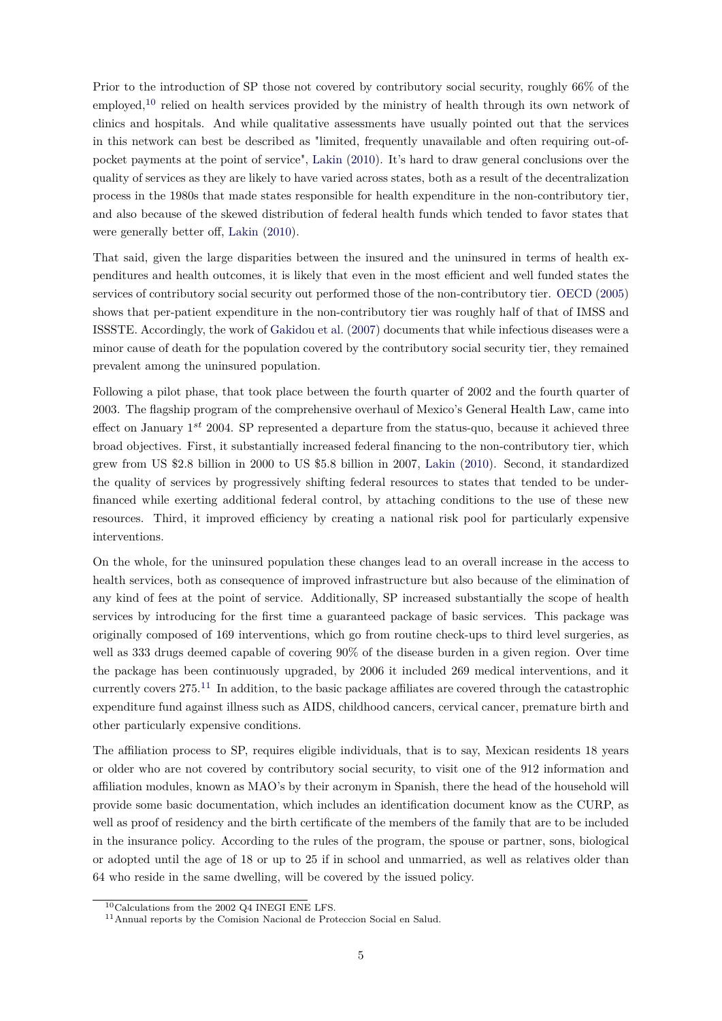Prior to the introduction of SP those not covered by contributory social security, roughly 66% of the employed,<sup>[10](#page-0-0)</sup> relied on health services provided by the ministry of health through its own network of clinics and hospitals. And while qualitative assessments have usually pointed out that the services in this network can best be described as "limited, frequently unavailable and often requiring out-ofpocket payments at the point of service", [Lakin](#page-28-8) [\(2010\)](#page-28-8). It's hard to draw general conclusions over the quality of services as they are likely to have varied across states, both as a result of the decentralization process in the 1980s that made states responsible for health expenditure in the non-contributory tier, and also because of the skewed distribution of federal health funds which tended to favor states that were generally better off, [Lakin](#page-28-8) [\(2010\)](#page-28-8).

That said, given the large disparities between the insured and the uninsured in terms of health expenditures and health outcomes, it is likely that even in the most efficient and well funded states the services of contributory social security out performed those of the non-contributory tier. [OECD](#page-28-12) [\(2005\)](#page-28-12) shows that per-patient expenditure in the non-contributory tier was roughly half of that of IMSS and ISSSTE. Accordingly, the work of [Gakidou et al.](#page-27-1) [\(2007\)](#page-27-1) documents that while infectious diseases were a minor cause of death for the population covered by the contributory social security tier, they remained prevalent among the uninsured population.

Following a pilot phase, that took place between the fourth quarter of 2002 and the fourth quarter of 2003. The flagship program of the comprehensive overhaul of Mexico's General Health Law, came into effect on January 1 *st* 2004. SP represented a departure from the status-quo, because it achieved three broad objectives. First, it substantially increased federal financing to the non-contributory tier, which grew from US \$2.8 billion in 2000 to US \$5.8 billion in 2007, [Lakin](#page-28-8) [\(2010\)](#page-28-8). Second, it standardized the quality of services by progressively shifting federal resources to states that tended to be underfinanced while exerting additional federal control, by attaching conditions to the use of these new resources. Third, it improved efficiency by creating a national risk pool for particularly expensive interventions.

On the whole, for the uninsured population these changes lead to an overall increase in the access to health services, both as consequence of improved infrastructure but also because of the elimination of any kind of fees at the point of service. Additionally, SP increased substantially the scope of health services by introducing for the first time a guaranteed package of basic services. This package was originally composed of 169 interventions, which go from routine check-ups to third level surgeries, as well as 333 drugs deemed capable of covering 90% of the disease burden in a given region. Over time the package has been continuously upgraded, by 2006 it included 269 medical interventions, and it currently covers 275.[11](#page-0-0) In addition, to the basic package affiliates are covered through the catastrophic expenditure fund against illness such as AIDS, childhood cancers, cervical cancer, premature birth and other particularly expensive conditions.

The affiliation process to SP, requires eligible individuals, that is to say, Mexican residents 18 years or older who are not covered by contributory social security, to visit one of the 912 information and affiliation modules, known as MAO's by their acronym in Spanish, there the head of the household will provide some basic documentation, which includes an identification document know as the CURP, as well as proof of residency and the birth certificate of the members of the family that are to be included in the insurance policy. According to the rules of the program, the spouse or partner, sons, biological or adopted until the age of 18 or up to 25 if in school and unmarried, as well as relatives older than 64 who reside in the same dwelling, will be covered by the issued policy.

 $10$ Calculations from the 2002 Q4 INEGI ENE LFS.

<sup>11</sup>Annual reports by the Comision Nacional de Proteccion Social en Salud.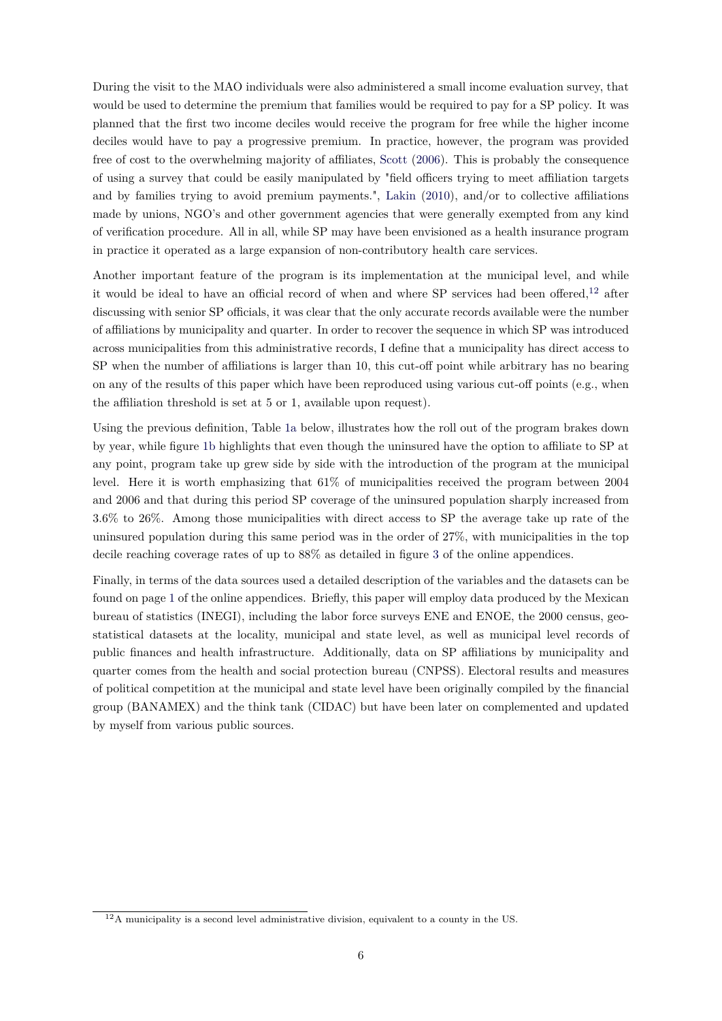During the visit to the MAO individuals were also administered a small income evaluation survey, that would be used to determine the premium that families would be required to pay for a SP policy. It was planned that the first two income deciles would receive the program for free while the higher income deciles would have to pay a progressive premium. In practice, however, the program was provided free of cost to the overwhelming majority of affiliates, [Scott](#page-28-13) [\(2006\)](#page-28-13). This is probably the consequence of using a survey that could be easily manipulated by "field officers trying to meet affiliation targets and by families trying to avoid premium payments.", [Lakin](#page-28-8) [\(2010\)](#page-28-8), and/or to collective affiliations made by unions, NGO's and other government agencies that were generally exempted from any kind of verification procedure. All in all, while SP may have been envisioned as a health insurance program in practice it operated as a large expansion of non-contributory health care services.

Another important feature of the program is its implementation at the municipal level, and while it would be ideal to have an official record of when and where SP services had been offered, $12$  after discussing with senior SP officials, it was clear that the only accurate records available were the number of affiliations by municipality and quarter. In order to recover the sequence in which SP was introduced across municipalities from this administrative records, I define that a municipality has direct access to SP when the number of affiliations is larger than 10, this cut-off point while arbitrary has no bearing on any of the results of this paper which have been reproduced using various cut-off points (e.g., when the affiliation threshold is set at 5 or 1, available upon request).

Using the previous definition, Table [1a](#page-6-0) below, illustrates how the roll out of the program brakes down by year, while figure [1b](#page-6-0) highlights that even though the uninsured have the option to affiliate to SP at any point, program take up grew side by side with the introduction of the program at the municipal level. Here it is worth emphasizing that 61% of municipalities received the program between 2004 and 2006 and that during this period SP coverage of the uninsured population sharply increased from 3.6% to 26%. Among those municipalities with direct access to SP the average take up rate of the uninsured population during this same period was in the order of 27%, with municipalities in the top decile reaching coverage rates of up to 88% as detailed in figure [3](http://www.parisschoolofeconomics.eu/docs/del-valle-suarez-alejandro/appendices_res.pdf#figure.caption.29) of the online appendices.

Finally, in terms of the data sources used a detailed description of the variables and the datasets can be found on page [1](http://www.parisschoolofeconomics.eu/docs/del-valle-suarez-alejandro/appendices_res.pdf#section.1) of the online appendices. Briefly, this paper will employ data produced by the Mexican bureau of statistics (INEGI), including the labor force surveys ENE and ENOE, the 2000 census, geostatistical datasets at the locality, municipal and state level, as well as municipal level records of public finances and health infrastructure. Additionally, data on SP affiliations by municipality and quarter comes from the health and social protection bureau (CNPSS). Electoral results and measures of political competition at the municipal and state level have been originally compiled by the financial group (BANAMEX) and the think tank (CIDAC) but have been later on complemented and updated by myself from various public sources.

<sup>12</sup>A municipality is a second level administrative division, equivalent to a county in the US.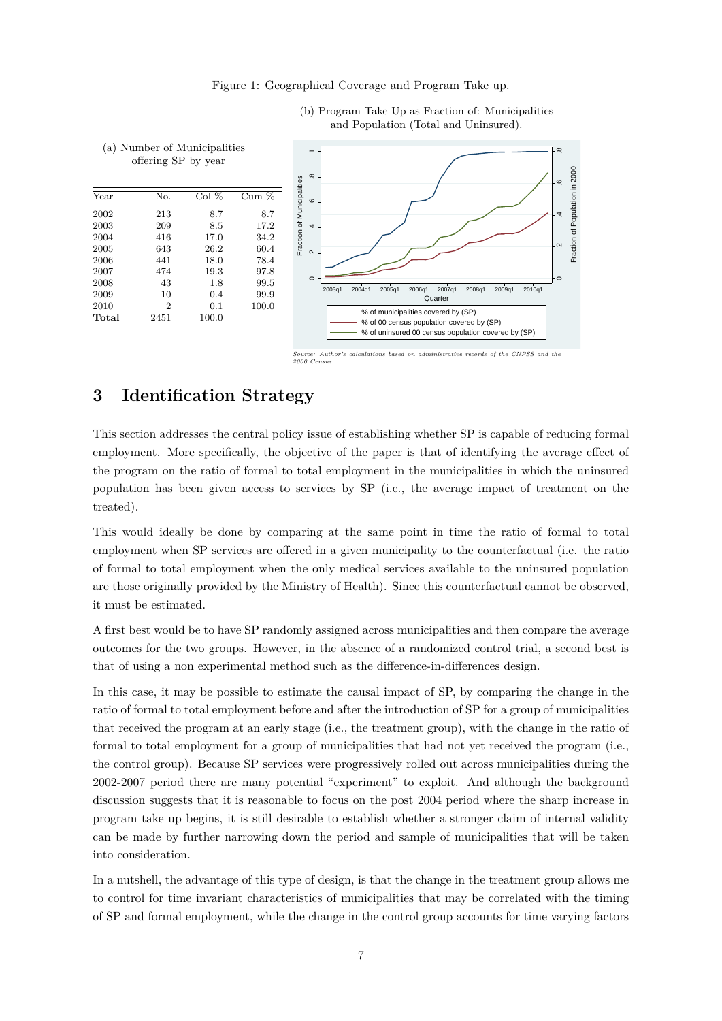#### Figure 1: Geographical Coverage and Program Take up.

<span id="page-6-0"></span>

(b) Program Take Up as Fraction of: Municipalities and Population (Total and Uninsured).

## **3 Identification Strategy**

This section addresses the central policy issue of establishing whether SP is capable of reducing formal employment. More specifically, the objective of the paper is that of identifying the average effect of the program on the ratio of formal to total employment in the municipalities in which the uninsured population has been given access to services by SP (i.e., the average impact of treatment on the treated).

This would ideally be done by comparing at the same point in time the ratio of formal to total employment when SP services are offered in a given municipality to the counterfactual (i.e. the ratio of formal to total employment when the only medical services available to the uninsured population are those originally provided by the Ministry of Health). Since this counterfactual cannot be observed, it must be estimated.

A first best would be to have SP randomly assigned across municipalities and then compare the average outcomes for the two groups. However, in the absence of a randomized control trial, a second best is that of using a non experimental method such as the difference-in-differences design.

In this case, it may be possible to estimate the causal impact of SP, by comparing the change in the ratio of formal to total employment before and after the introduction of SP for a group of municipalities that received the program at an early stage (i.e., the treatment group), with the change in the ratio of formal to total employment for a group of municipalities that had not yet received the program (i.e., the control group). Because SP services were progressively rolled out across municipalities during the 2002-2007 period there are many potential "experiment" to exploit. And although the background discussion suggests that it is reasonable to focus on the post 2004 period where the sharp increase in program take up begins, it is still desirable to establish whether a stronger claim of internal validity can be made by further narrowing down the period and sample of municipalities that will be taken into consideration.

In a nutshell, the advantage of this type of design, is that the change in the treatment group allows me to control for time invariant characteristics of municipalities that may be correlated with the timing of SP and formal employment, while the change in the control group accounts for time varying factors

 $\emph{calculations based on administrative records of the CNPSS and the$ *2000 Census.*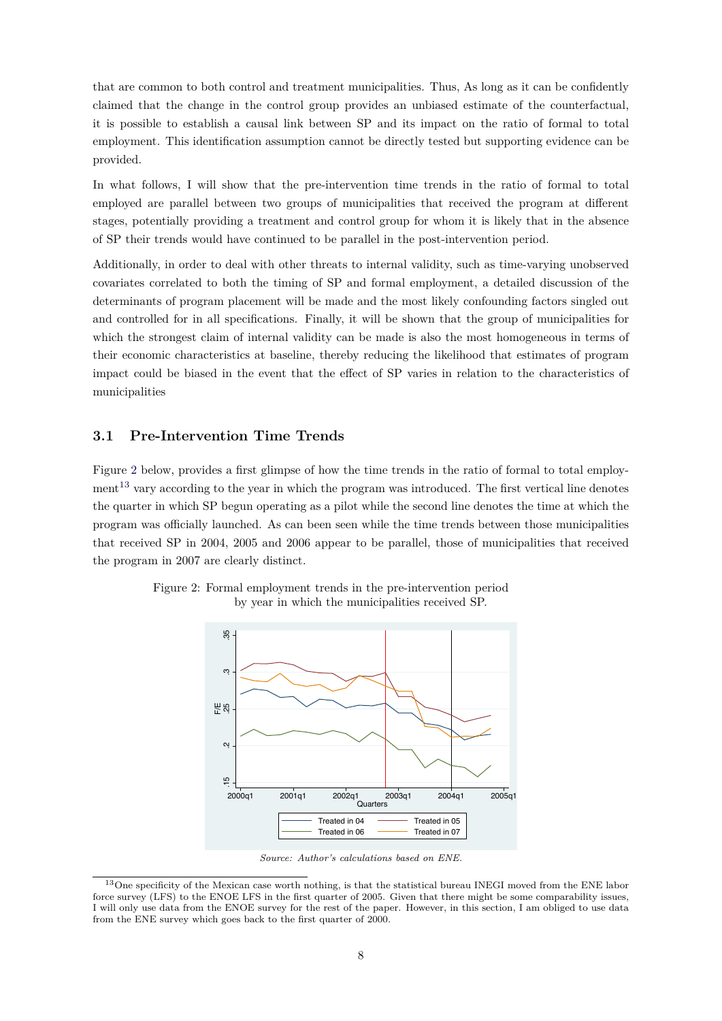that are common to both control and treatment municipalities. Thus, As long as it can be confidently claimed that the change in the control group provides an unbiased estimate of the counterfactual, it is possible to establish a causal link between SP and its impact on the ratio of formal to total employment. This identification assumption cannot be directly tested but supporting evidence can be provided.

In what follows, I will show that the pre-intervention time trends in the ratio of formal to total employed are parallel between two groups of municipalities that received the program at different stages, potentially providing a treatment and control group for whom it is likely that in the absence of SP their trends would have continued to be parallel in the post-intervention period.

Additionally, in order to deal with other threats to internal validity, such as time-varying unobserved covariates correlated to both the timing of SP and formal employment, a detailed discussion of the determinants of program placement will be made and the most likely confounding factors singled out and controlled for in all specifications. Finally, it will be shown that the group of municipalities for which the strongest claim of internal validity can be made is also the most homogeneous in terms of their economic characteristics at baseline, thereby reducing the likelihood that estimates of program impact could be biased in the event that the effect of SP varies in relation to the characteristics of municipalities

#### **3.1 Pre-Intervention Time Trends**

Figure [2](#page-7-0) below, provides a first glimpse of how the time trends in the ratio of formal to total employ- $\text{ment}^{13}$  $\text{ment}^{13}$  $\text{ment}^{13}$  vary according to the year in which the program was introduced. The first vertical line denotes the quarter in which SP begun operating as a pilot while the second line denotes the time at which the program was officially launched. As can been seen while the time trends between those municipalities that received SP in 2004, 2005 and 2006 appear to be parallel, those of municipalities that received the program in 2007 are clearly distinct.



<span id="page-7-0"></span>Figure 2: Formal employment trends in the pre-intervention period by year in which the municipalities received SP.

*Source: Author's calculations based on ENE.*

<sup>&</sup>lt;sup>13</sup>One specificity of the Mexican case worth nothing, is that the statistical bureau INEGI moved from the ENE labor force survey (LFS) to the ENOE LFS in the first quarter of 2005. Given that there might be some comparability issues, I will only use data from the ENOE survey for the rest of the paper. However, in this section, I am obliged to use data from the ENE survey which goes back to the first quarter of 2000.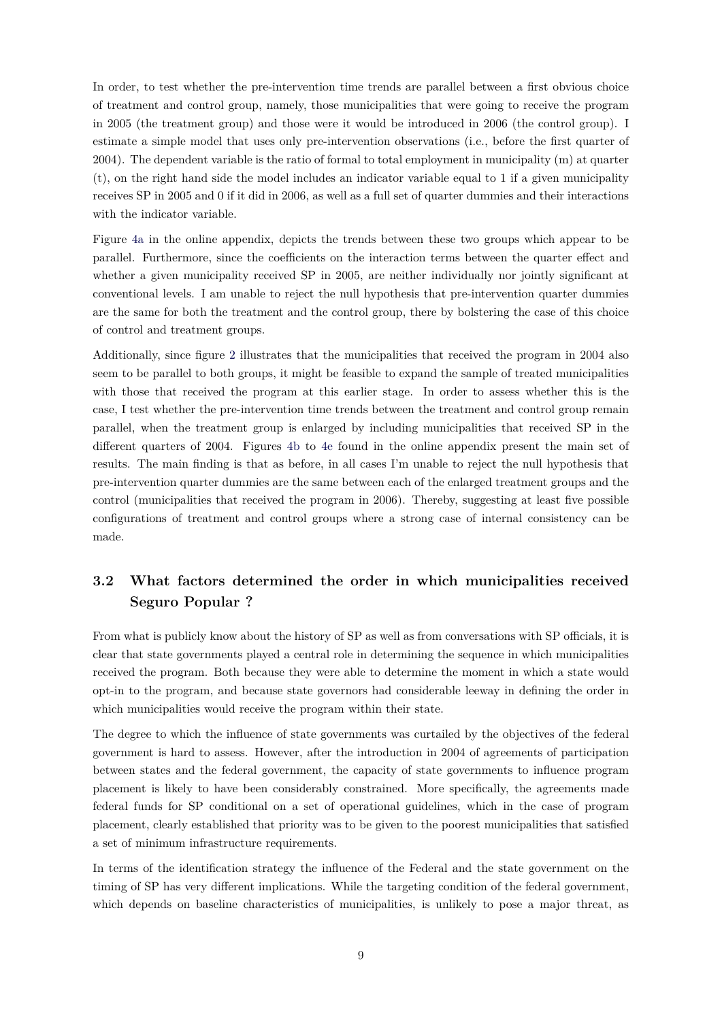In order, to test whether the pre-intervention time trends are parallel between a first obvious choice of treatment and control group, namely, those municipalities that were going to receive the program in 2005 (the treatment group) and those were it would be introduced in 2006 (the control group). I estimate a simple model that uses only pre-intervention observations (i.e., before the first quarter of 2004). The dependent variable is the ratio of formal to total employment in municipality (m) at quarter (t), on the right hand side the model includes an indicator variable equal to 1 if a given municipality receives SP in 2005 and 0 if it did in 2006, as well as a full set of quarter dummies and their interactions with the indicator variable.

Figure [4a](http://www.parisschoolofeconomics.eu/docs/del-valle-suarez-alejandro/appendices_res.pdf#figure.caption.30) in the online appendix, depicts the trends between these two groups which appear to be parallel. Furthermore, since the coefficients on the interaction terms between the quarter effect and whether a given municipality received SP in 2005, are neither individually nor jointly significant at conventional levels. I am unable to reject the null hypothesis that pre-intervention quarter dummies are the same for both the treatment and the control group, there by bolstering the case of this choice of control and treatment groups.

Additionally, since figure [2](#page-7-0) illustrates that the municipalities that received the program in 2004 also seem to be parallel to both groups, it might be feasible to expand the sample of treated municipalities with those that received the program at this earlier stage. In order to assess whether this is the case, I test whether the pre-intervention time trends between the treatment and control group remain parallel, when the treatment group is enlarged by including municipalities that received SP in the different quarters of 2004. Figures [4b](http://www.parisschoolofeconomics.eu/docs/del-valle-suarez-alejandro/appendices_res.pdf#figure.caption.30) to [4e](http://www.parisschoolofeconomics.eu/docs/del-valle-suarez-alejandro/appendices_res.pdf#figure.caption.30) found in the online appendix present the main set of results. The main finding is that as before, in all cases I'm unable to reject the null hypothesis that pre-intervention quarter dummies are the same between each of the enlarged treatment groups and the control (municipalities that received the program in 2006). Thereby, suggesting at least five possible configurations of treatment and control groups where a strong case of internal consistency can be made.

# **3.2 What factors determined the order in which municipalities received Seguro Popular ?**

From what is publicly know about the history of SP as well as from conversations with SP officials, it is clear that state governments played a central role in determining the sequence in which municipalities received the program. Both because they were able to determine the moment in which a state would opt-in to the program, and because state governors had considerable leeway in defining the order in which municipalities would receive the program within their state.

The degree to which the influence of state governments was curtailed by the objectives of the federal government is hard to assess. However, after the introduction in 2004 of agreements of participation between states and the federal government, the capacity of state governments to influence program placement is likely to have been considerably constrained. More specifically, the agreements made federal funds for SP conditional on a set of operational guidelines, which in the case of program placement, clearly established that priority was to be given to the poorest municipalities that satisfied a set of minimum infrastructure requirements.

In terms of the identification strategy the influence of the Federal and the state government on the timing of SP has very different implications. While the targeting condition of the federal government, which depends on baseline characteristics of municipalities, is unlikely to pose a major threat, as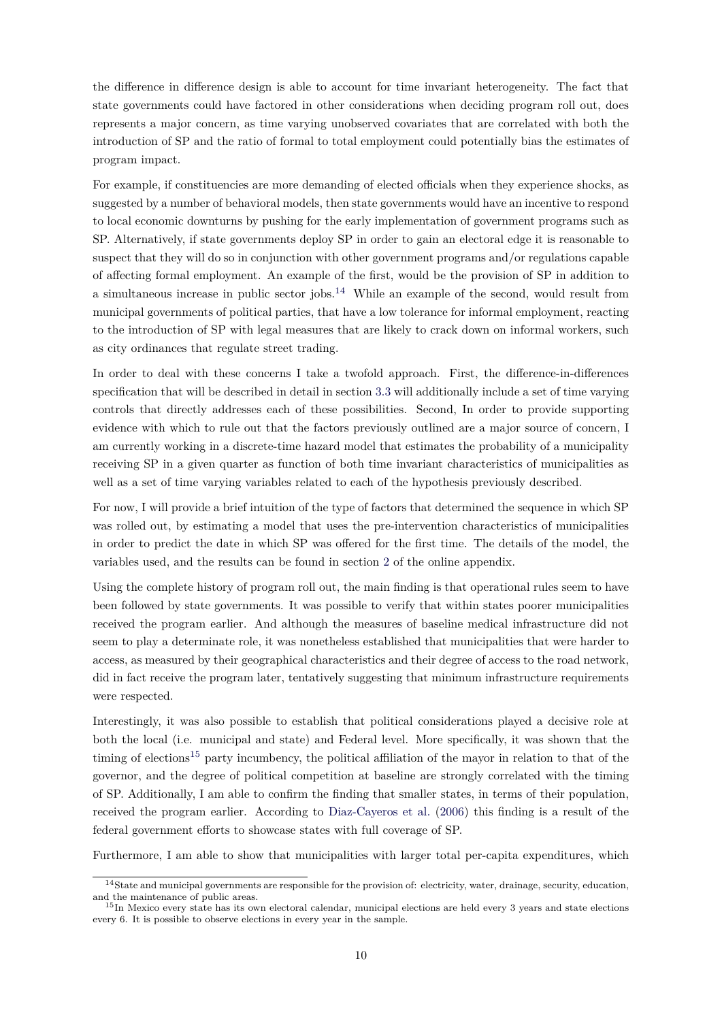the difference in difference design is able to account for time invariant heterogeneity. The fact that state governments could have factored in other considerations when deciding program roll out, does represents a major concern, as time varying unobserved covariates that are correlated with both the introduction of SP and the ratio of formal to total employment could potentially bias the estimates of program impact.

For example, if constituencies are more demanding of elected officials when they experience shocks, as suggested by a number of behavioral models, then state governments would have an incentive to respond to local economic downturns by pushing for the early implementation of government programs such as SP. Alternatively, if state governments deploy SP in order to gain an electoral edge it is reasonable to suspect that they will do so in conjunction with other government programs and/or regulations capable of affecting formal employment. An example of the first, would be the provision of SP in addition to a simultaneous increase in public sector jobs.<sup>[14](#page-0-0)</sup> While an example of the second, would result from municipal governments of political parties, that have a low tolerance for informal employment, reacting to the introduction of SP with legal measures that are likely to crack down on informal workers, such as city ordinances that regulate street trading.

In order to deal with these concerns I take a twofold approach. First, the difference-in-differences specification that will be described in detail in section [3.3](#page-10-0) will additionally include a set of time varying controls that directly addresses each of these possibilities. Second, In order to provide supporting evidence with which to rule out that the factors previously outlined are a major source of concern, I am currently working in a discrete-time hazard model that estimates the probability of a municipality receiving SP in a given quarter as function of both time invariant characteristics of municipalities as well as a set of time varying variables related to each of the hypothesis previously described.

For now, I will provide a brief intuition of the type of factors that determined the sequence in which SP was rolled out, by estimating a model that uses the pre-intervention characteristics of municipalities in order to predict the date in which SP was offered for the first time. The details of the model, the variables used, and the results can be found in section [2](http://www.parisschoolofeconomics.eu/docs/del-valle-suarez-alejandro/appendices_res.pdf#section.2) of the online appendix.

Using the complete history of program roll out, the main finding is that operational rules seem to have been followed by state governments. It was possible to verify that within states poorer municipalities received the program earlier. And although the measures of baseline medical infrastructure did not seem to play a determinate role, it was nonetheless established that municipalities that were harder to access, as measured by their geographical characteristics and their degree of access to the road network, did in fact receive the program later, tentatively suggesting that minimum infrastructure requirements were respected.

Interestingly, it was also possible to establish that political considerations played a decisive role at both the local (i.e. municipal and state) and Federal level. More specifically, it was shown that the timing of elections<sup>[15](#page-0-0)</sup> party incumbency, the political affiliation of the mayor in relation to that of the governor, and the degree of political competition at baseline are strongly correlated with the timing of SP. Additionally, I am able to confirm the finding that smaller states, in terms of their population, received the program earlier. According to [Diaz-Cayeros et al.](#page-27-6) [\(2006\)](#page-27-6) this finding is a result of the federal government efforts to showcase states with full coverage of SP.

Furthermore, I am able to show that municipalities with larger total per-capita expenditures, which

<sup>14</sup>State and municipal governments are responsible for the provision of: electricity, water, drainage, security, education, and the maintenance of public areas.

<sup>&</sup>lt;sup>15</sup>In Mexico every state has its own electoral calendar, municipal elections are held every 3 years and state elections every 6. It is possible to observe elections in every year in the sample.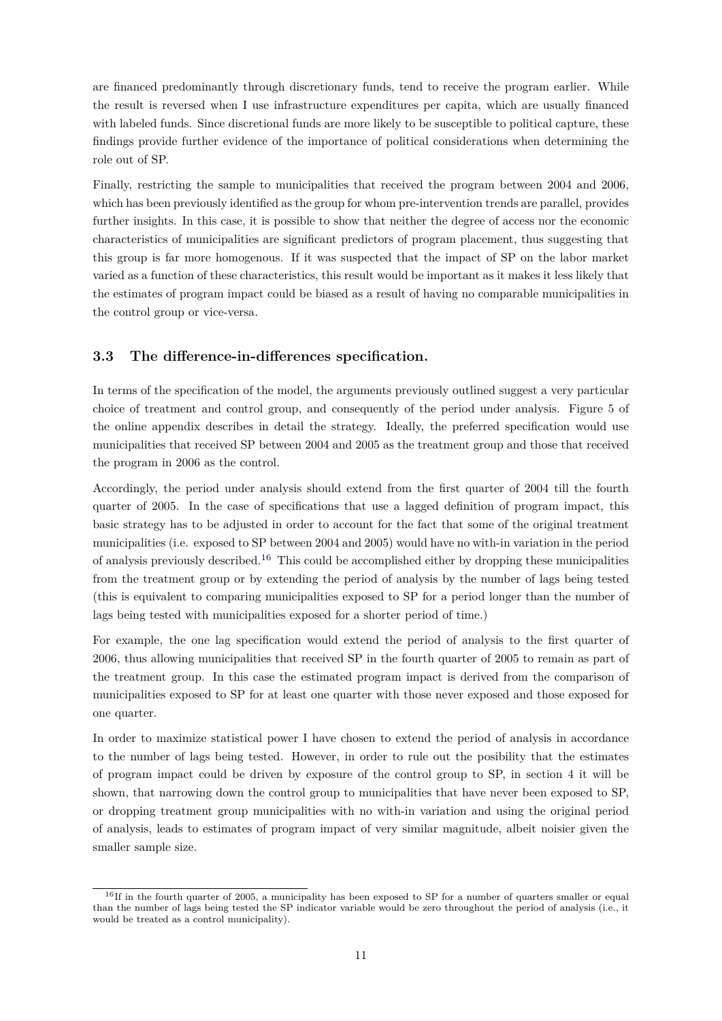are financed predominantly through discretionary funds, tend to receive the program earlier. While the result is reversed when I use infrastructure expenditures per capita, which are usually financed with labeled funds. Since discretional funds are more likely to be susceptible to political capture, these findings provide further evidence of the importance of political considerations when determining the role out of SP.

Finally, restricting the sample to municipalities that received the program between 2004 and 2006, which has been previously identified as the group for whom pre-intervention trends are parallel, provides further insights. In this case, it is possible to show that neither the degree of access nor the economic characteristics of municipalities are significant predictors of program placement, thus suggesting that this group is far more homogenous. If it was suspected that the impact of SP on the labor market varied as a function of these characteristics, this result would be important as it makes it less likely that the estimates of program impact could be biased as a result of having no comparable municipalities in the control group or vice-versa.

#### <span id="page-10-0"></span>**3.3 The difference-in-differences specification.**

In terms of the specification of the model, the arguments previously outlined suggest a very particular choice of treatment and control group, and consequently of the period under analysis. Figure [5](http://www.parisschoolofeconomics.eu/docs/del-valle-suarez-alejandro/appendices_res.pdf#figure.caption.31) of the online appendix describes in detail the strategy. Ideally, the preferred specification would use municipalities that received SP between 2004 and 2005 as the treatment group and those that received the program in 2006 as the control.

Accordingly, the period under analysis should extend from the first quarter of 2004 till the fourth quarter of 2005. In the case of specifications that use a lagged definition of program impact, this basic strategy has to be adjusted in order to account for the fact that some of the original treatment municipalities (i.e. exposed to SP between 2004 and 2005) would have no with-in variation in the period of analysis previously described.[16](#page-0-0) This could be accomplished either by dropping these municipalities from the treatment group or by extending the period of analysis by the number of lags being tested (this is equivalent to comparing municipalities exposed to SP for a period longer than the number of lags being tested with municipalities exposed for a shorter period of time.)

For example, the one lag specification would extend the period of analysis to the first quarter of 2006, thus allowing municipalities that received SP in the fourth quarter of 2005 to remain as part of the treatment group. In this case the estimated program impact is derived from the comparison of municipalities exposed to SP for at least one quarter with those never exposed and those exposed for one quarter.

In order to maximize statistical power I have chosen to extend the period of analysis in accordance to the number of lags being tested. However, in order to rule out the posibility that the estimates of program impact could be driven by exposure of the control group to SP, in section [4](#page-12-0) it will be shown, that narrowing down the control group to municipalities that have never been exposed to SP, or dropping treatment group municipalities with no with-in variation and using the original period of analysis, leads to estimates of program impact of very similar magnitude, albeit noisier given the smaller sample size.

<sup>&</sup>lt;sup>16</sup>If in the fourth quarter of 2005, a municipality has been exposed to SP for a number of quarters smaller or equal than the number of lags being tested the SP indicator variable would be zero throughout the period of analysis (i.e., it would be treated as a control municipality).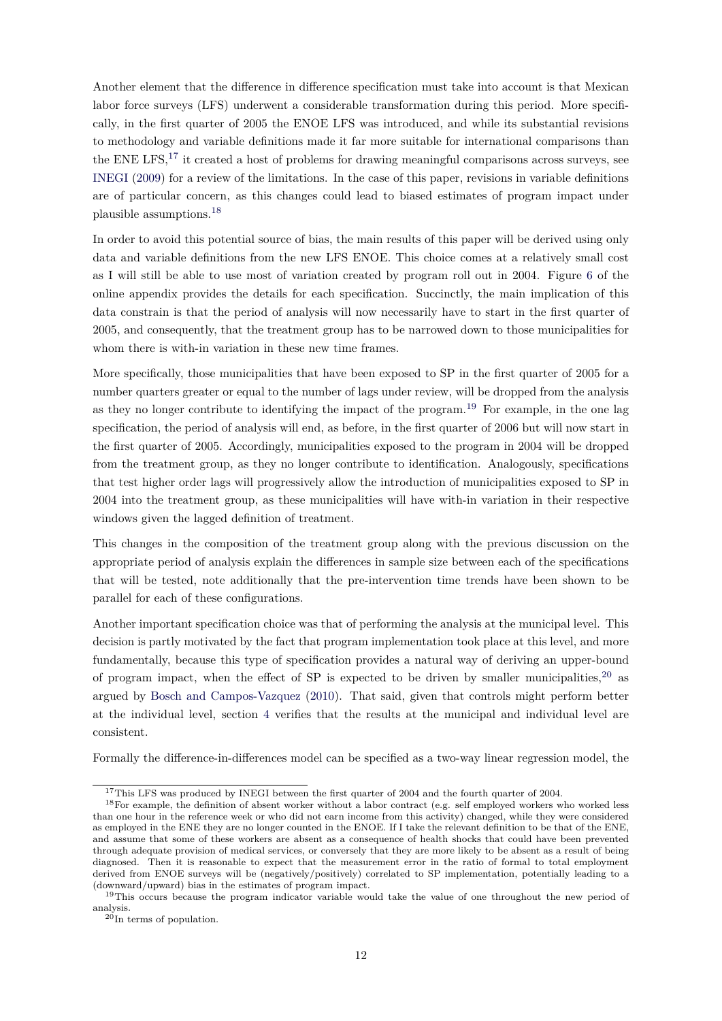Another element that the difference in difference specification must take into account is that Mexican labor force surveys (LFS) underwent a considerable transformation during this period. More specifically, in the first quarter of 2005 the ENOE LFS was introduced, and while its substantial revisions to methodology and variable definitions made it far more suitable for international comparisons than the ENE LFS,<sup>[17](#page-0-0)</sup> it created a host of problems for drawing meaningful comparisons across surveys, see [INEGI](#page-28-14) [\(2009\)](#page-28-14) for a review of the limitations. In the case of this paper, revisions in variable definitions are of particular concern, as this changes could lead to biased estimates of program impact under plausible assumptions.[18](#page-0-0)

In order to avoid this potential source of bias, the main results of this paper will be derived using only data and variable definitions from the new LFS ENOE. This choice comes at a relatively small cost as I will still be able to use most of variation created by program roll out in 2004. Figure [6](http://www.parisschoolofeconomics.eu/docs/del-valle-suarez-alejandro/appendices_res.pdf#figure.caption.32) of the online appendix provides the details for each specification. Succinctly, the main implication of this data constrain is that the period of analysis will now necessarily have to start in the first quarter of 2005, and consequently, that the treatment group has to be narrowed down to those municipalities for whom there is with-in variation in these new time frames.

More specifically, those municipalities that have been exposed to SP in the first quarter of 2005 for a number quarters greater or equal to the number of lags under review, will be dropped from the analysis as they no longer contribute to identifying the impact of the program.[19](#page-0-0) For example, in the one lag specification, the period of analysis will end, as before, in the first quarter of 2006 but will now start in the first quarter of 2005. Accordingly, municipalities exposed to the program in 2004 will be dropped from the treatment group, as they no longer contribute to identification. Analogously, specifications that test higher order lags will progressively allow the introduction of municipalities exposed to SP in 2004 into the treatment group, as these municipalities will have with-in variation in their respective windows given the lagged definition of treatment.

This changes in the composition of the treatment group along with the previous discussion on the appropriate period of analysis explain the differences in sample size between each of the specifications that will be tested, note additionally that the pre-intervention time trends have been shown to be parallel for each of these configurations.

Another important specification choice was that of performing the analysis at the municipal level. This decision is partly motivated by the fact that program implementation took place at this level, and more fundamentally, because this type of specification provides a natural way of deriving an upper-bound of program impact, when the effect of SP is expected to be driven by smaller municipalities,  $20$  as argued by [Bosch and Campos-Vazquez](#page-27-4) [\(2010\)](#page-27-4). That said, given that controls might perform better at the individual level, section [4](#page-12-0) verifies that the results at the municipal and individual level are consistent.

Formally the difference-in-differences model can be specified as a two-way linear regression model, the

<sup>&</sup>lt;sup>17</sup>This LFS was produced by INEGI between the first quarter of 2004 and the fourth quarter of 2004.

<sup>&</sup>lt;sup>18</sup>For example, the definition of absent worker without a labor contract (e.g. self employed workers who worked less than one hour in the reference week or who did not earn income from this activity) changed, while they were considered as employed in the ENE they are no longer counted in the ENOE. If I take the relevant definition to be that of the ENE, and assume that some of these workers are absent as a consequence of health shocks that could have been prevented through adequate provision of medical services, or conversely that they are more likely to be absent as a result of being diagnosed. Then it is reasonable to expect that the measurement error in the ratio of formal to total employment derived from ENOE surveys will be (negatively/positively) correlated to SP implementation, potentially leading to a (downward/upward) bias in the estimates of program impact.

<sup>&</sup>lt;sup>19</sup>This occurs because the program indicator variable would take the value of one throughout the new period of analysis.

 $^{20}$ In terms of population.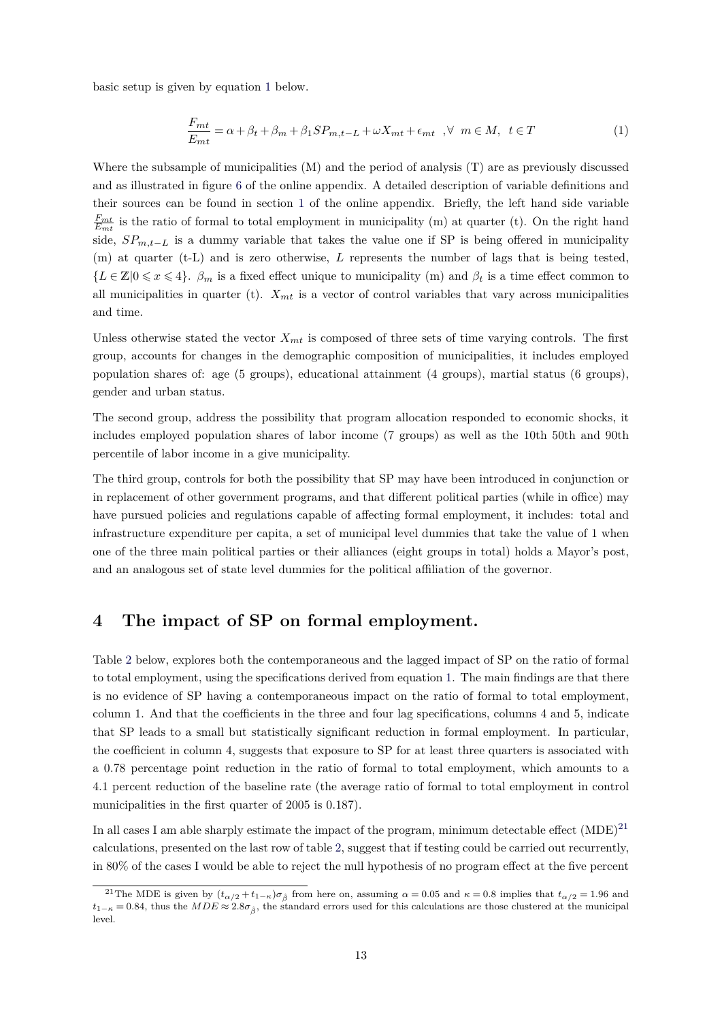basic setup is given by equation [1](#page-12-1) below.

<span id="page-12-1"></span>
$$
\frac{F_{mt}}{E_{mt}} = \alpha + \beta_t + \beta_m + \beta_1 SP_{m,t-L} + \omega X_{mt} + \epsilon_{mt} , \forall m \in M, t \in T
$$
\n(1)

Where the subsample of municipalities (M) and the period of analysis (T) are as previously discussed and as illustrated in figure [6](http://www.parisschoolofeconomics.eu/docs/del-valle-suarez-alejandro/appendices_res.pdf#figure.caption.32) of the online appendix. A detailed description of variable definitions and their sources can be found in section [1](http://www.parisschoolofeconomics.eu/docs/del-valle-suarez-alejandro/appendices_res.pdf#section.1) of the online appendix. Briefly, the left hand side variable  $\frac{F_{mt}}{E_{mt}}$  is the ratio of formal to total employment in municipality (m) at quarter (t). On the right hand side,  $SP_{m,t-L}$  is a dummy variable that takes the value one if SP is being offered in municipality (m) at quarter (t-L) and is zero otherwise, *L* represents the number of lags that is being tested,  ${L \in \mathbb{Z} \mid 0 \leq x \leq 4}$ .  $\beta_m$  is a fixed effect unique to municipality (m) and  $\beta_t$  is a time effect common to all municipalities in quarter (t).  $X_{mt}$  is a vector of control variables that vary across municipalities and time.

Unless otherwise stated the vector  $X_{mt}$  is composed of three sets of time varying controls. The first group, accounts for changes in the demographic composition of municipalities, it includes employed population shares of: age (5 groups), educational attainment (4 groups), martial status (6 groups), gender and urban status.

The second group, address the possibility that program allocation responded to economic shocks, it includes employed population shares of labor income (7 groups) as well as the 10th 50th and 90th percentile of labor income in a give municipality.

The third group, controls for both the possibility that SP may have been introduced in conjunction or in replacement of other government programs, and that different political parties (while in office) may have pursued policies and regulations capable of affecting formal employment, it includes: total and infrastructure expenditure per capita, a set of municipal level dummies that take the value of 1 when one of the three main political parties or their alliances (eight groups in total) holds a Mayor's post, and an analogous set of state level dummies for the political affiliation of the governor.

#### <span id="page-12-0"></span>**4 The impact of SP on formal employment.**

Table [2](#page-14-0) below, explores both the contemporaneous and the lagged impact of SP on the ratio of formal to total employment, using the specifications derived from equation [1.](#page-12-1) The main findings are that there is no evidence of SP having a contemporaneous impact on the ratio of formal to total employment, column 1. And that the coefficients in the three and four lag specifications, columns 4 and 5, indicate that SP leads to a small but statistically significant reduction in formal employment. In particular, the coefficient in column 4, suggests that exposure to SP for at least three quarters is associated with a 0.78 percentage point reduction in the ratio of formal to total employment, which amounts to a 4.1 percent reduction of the baseline rate (the average ratio of formal to total employment in control municipalities in the first quarter of 2005 is 0.187).

In all cases I am able sharply estimate the impact of the program, minimum detectable effect  $(MDE)^{21}$  $(MDE)^{21}$  $(MDE)^{21}$ calculations, presented on the last row of table [2,](#page-14-0) suggest that if testing could be carried out recurrently, in 80% of the cases I would be able to reject the null hypothesis of no program effect at the five percent

<sup>&</sup>lt;sup>21</sup>The MDE is given by  $(t_{\alpha/2} + t_{1-\kappa})\sigma_{\hat{\beta}}$  from here on, assuming  $\alpha = 0.05$  and  $\kappa = 0.8$  implies that  $t_{\alpha/2} = 1.96$  and  $t_{1-\kappa} = 0.84$ , thus the  $MDE \approx 2.8\sigma_{\beta}$ , the standard errors used for this calculations are those clustered at the municipal level.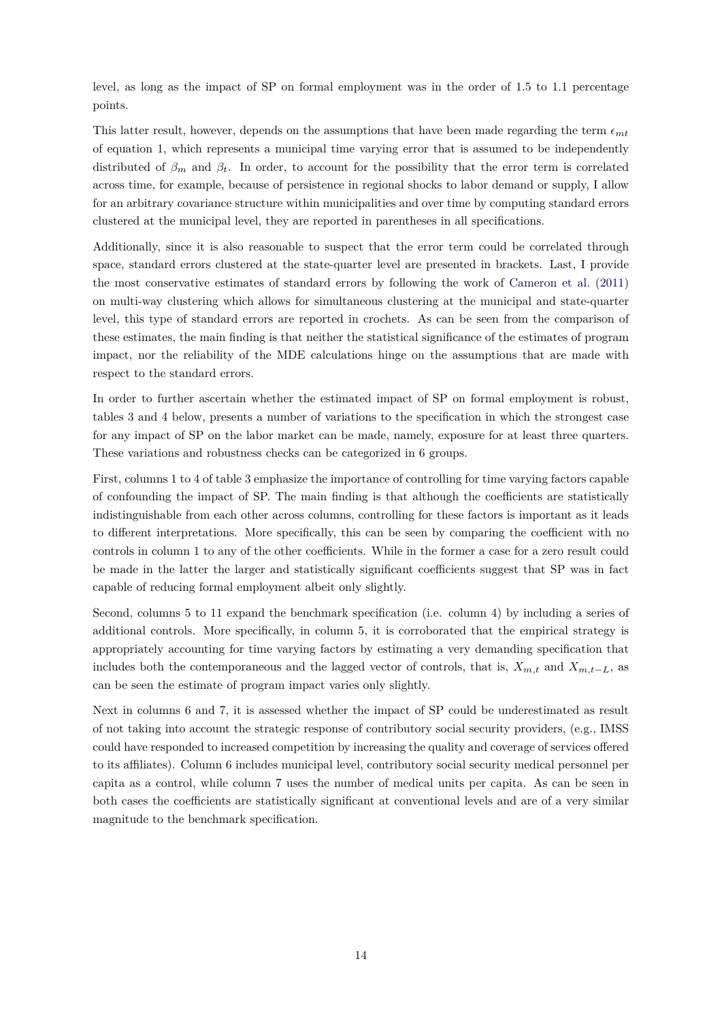level, as long as the impact of SP on formal employment was in the order of 1.5 to 1.1 percentage points.

This latter result, however, depends on the assumptions that have been made regarding the term  $\epsilon_{mt}$ of equation [1,](#page-12-1) which represents a municipal time varying error that is assumed to be independently distributed of  $\beta_m$  and  $\beta_t$ . In order, to account for the possibility that the error term is correlated across time, for example, because of persistence in regional shocks to labor demand or supply, I allow for an arbitrary covariance structure within municipalities and over time by computing standard errors clustered at the municipal level, they are reported in parentheses in all specifications.

Additionally, since it is also reasonable to suspect that the error term could be correlated through space, standard errors clustered at the state-quarter level are presented in brackets. Last, I provide the most conservative estimates of standard errors by following the work of [Cameron et al.](#page-27-7) [\(2011\)](#page-27-7) on multi-way clustering which allows for simultaneous clustering at the municipal and state-quarter level, this type of standard errors are reported in crochets. As can be seen from the comparison of these estimates, the main finding is that neither the statistical significance of the estimates of program impact, nor the reliability of the MDE calculations hinge on the assumptions that are made with respect to the standard errors.

In order to further ascertain whether the estimated impact of SP on formal employment is robust, tables [3](#page-17-0) and [4](#page-18-0) below, presents a number of variations to the specification in which the strongest case for any impact of SP on the labor market can be made, namely, exposure for at least three quarters. These variations and robustness checks can be categorized in 6 groups.

First, columns 1 to 4 of table [3](#page-17-0) emphasize the importance of controlling for time varying factors capable of confounding the impact of SP. The main finding is that although the coefficients are statistically indistinguishable from each other across columns, controlling for these factors is important as it leads to different interpretations. More specifically, this can be seen by comparing the coefficient with no controls in column 1 to any of the other coefficients. While in the former a case for a zero result could be made in the latter the larger and statistically significant coefficients suggest that SP was in fact capable of reducing formal employment albeit only slightly.

Second, columns 5 to 11 expand the benchmark specification (i.e. column 4) by including a series of additional controls. More specifically, in column 5, it is corroborated that the empirical strategy is appropriately accounting for time varying factors by estimating a very demanding specification that includes both the contemporaneous and the lagged vector of controls, that is,  $X_{m,t}$  and  $X_{m,t-L}$ , as can be seen the estimate of program impact varies only slightly.

Next in columns 6 and 7, it is assessed whether the impact of SP could be underestimated as result of not taking into account the strategic response of contributory social security providers, (e.g., IMSS could have responded to increased competition by increasing the quality and coverage of services offered to its affiliates). Column 6 includes municipal level, contributory social security medical personnel per capita as a control, while column 7 uses the number of medical units per capita. As can be seen in both cases the coefficients are statistically significant at conventional levels and are of a very similar magnitude to the benchmark specification.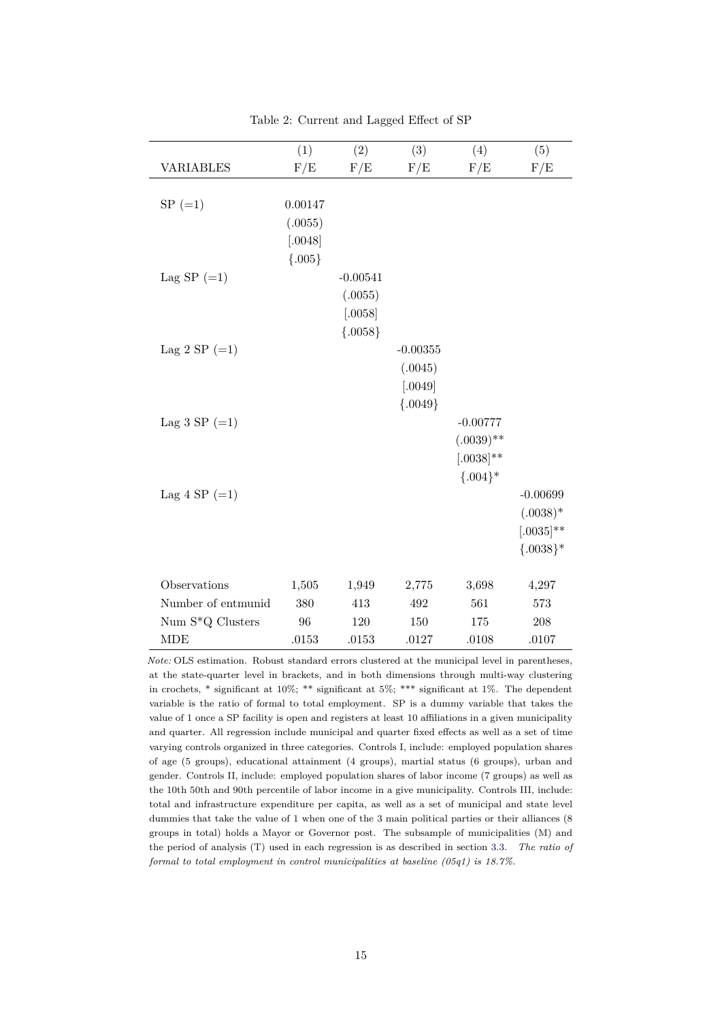<span id="page-14-0"></span>

|                    | (1)                                       | (2)                                          | (3)                                          | (4)                                                          | (5)                                                     |
|--------------------|-------------------------------------------|----------------------------------------------|----------------------------------------------|--------------------------------------------------------------|---------------------------------------------------------|
| <b>VARIABLES</b>   | F/E                                       | F/E                                          | F/E                                          | F/E                                                          | F/E                                                     |
| $SP (=1)$          | 0.00147<br>(.0055)<br>[.0048]<br>${.005}$ |                                              |                                              |                                                              |                                                         |
| Lag SP $(=1)$      |                                           | $-0.00541$<br>(.0055)<br>[.0058]<br>${0058}$ |                                              |                                                              |                                                         |
| Lag 2 SP $(=1)$    |                                           |                                              | $-0.00355$<br>(.0045)<br>[.0049]<br>${0049}$ |                                                              |                                                         |
| Lag 3 SP $(=1)$    |                                           |                                              |                                              | $-0.00777$<br>$(.0039)$ **<br>$[.0038]^{**}$<br>$\{.004\}$ * |                                                         |
| Lag 4 SP $(=1)$    |                                           |                                              |                                              |                                                              | $-0.00699$<br>$(.0038)*$<br>$[.0035]$ **<br>${0.038}^*$ |
| Observations       | 1,505                                     | 1,949                                        | 2,775                                        | 3,698                                                        | 4,297                                                   |
| Number of entmunid | 380                                       | 413                                          | 492                                          | 561                                                          | 573                                                     |
| Num S*Q Clusters   | 96                                        | 120                                          | 150                                          | 175                                                          | 208                                                     |
| <b>MDE</b>         | .0153                                     | .0153                                        | .0127                                        | .0108                                                        | .0107                                                   |

Table 2: Current and Lagged Effect of SP

*Note:* OLS estimation. Robust standard errors clustered at the municipal level in parentheses, at the state-quarter level in brackets, and in both dimensions through multi-way clustering in crochets, \* significant at 10%; \*\* significant at 5%; \*\*\* significant at 1%. The dependent variable is the ratio of formal to total employment. SP is a dummy variable that takes the value of 1 once a SP facility is open and registers at least 10 affiliations in a given municipality and quarter. All regression include municipal and quarter fixed effects as well as a set of time varying controls organized in three categories. Controls I, include: employed population shares of age (5 groups), educational attainment (4 groups), martial status (6 groups), urban and gender. Controls II, include: employed population shares of labor income (7 groups) as well as the 10th 50th and 90th percentile of labor income in a give municipality. Controls III, include: total and infrastructure expenditure per capita, as well as a set of municipal and state level dummies that take the value of 1 when one of the 3 main political parties or their alliances (8 groups in total) holds a Mayor or Governor post. The subsample of municipalities (M) and the period of analysis (T) used in each regression is as described in section [3.3.](#page-10-0) *The ratio of formal to total employment in control municipalities at baseline (05q1) is 18.7%*.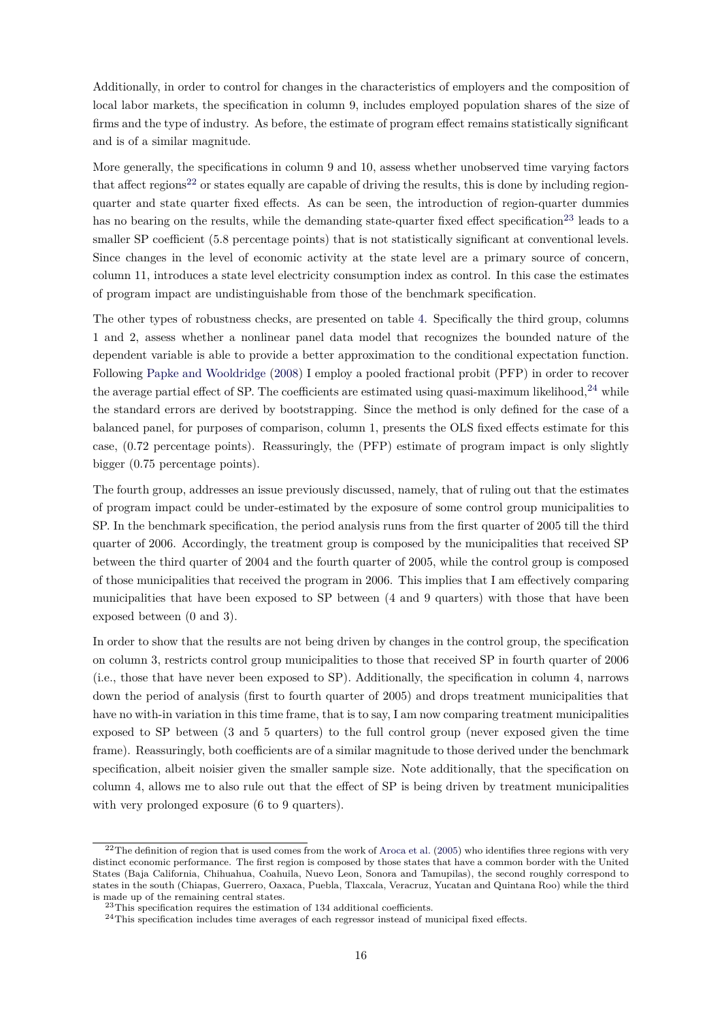Additionally, in order to control for changes in the characteristics of employers and the composition of local labor markets, the specification in column 9, includes employed population shares of the size of firms and the type of industry. As before, the estimate of program effect remains statistically significant and is of a similar magnitude.

More generally, the specifications in column 9 and 10, assess whether unobserved time varying factors that affect regions<sup>[22](#page-0-0)</sup> or states equally are capable of driving the results, this is done by including regionquarter and state quarter fixed effects. As can be seen, the introduction of region-quarter dummies has no bearing on the results, while the demanding state-quarter fixed effect specification<sup>[23](#page-0-0)</sup> leads to a smaller SP coefficient (5.8 percentage points) that is not statistically significant at conventional levels. Since changes in the level of economic activity at the state level are a primary source of concern, column 11, introduces a state level electricity consumption index as control. In this case the estimates of program impact are undistinguishable from those of the benchmark specification.

The other types of robustness checks, are presented on table [4.](#page-18-0) Specifically the third group, columns 1 and 2, assess whether a nonlinear panel data model that recognizes the bounded nature of the dependent variable is able to provide a better approximation to the conditional expectation function. Following [Papke and Wooldridge](#page-28-15) [\(2008\)](#page-28-15) I employ a pooled fractional probit (PFP) in order to recover the average partial effect of SP. The coefficients are estimated using quasi-maximum likelihood.<sup>[24](#page-0-0)</sup> while the standard errors are derived by bootstrapping. Since the method is only defined for the case of a balanced panel, for purposes of comparison, column 1, presents the OLS fixed effects estimate for this case, (0.72 percentage points). Reassuringly, the (PFP) estimate of program impact is only slightly bigger (0.75 percentage points).

The fourth group, addresses an issue previously discussed, namely, that of ruling out that the estimates of program impact could be under-estimated by the exposure of some control group municipalities to SP. In the benchmark specification, the period analysis runs from the first quarter of 2005 till the third quarter of 2006. Accordingly, the treatment group is composed by the municipalities that received SP between the third quarter of 2004 and the fourth quarter of 2005, while the control group is composed of those municipalities that received the program in 2006. This implies that I am effectively comparing municipalities that have been exposed to SP between (4 and 9 quarters) with those that have been exposed between (0 and 3).

In order to show that the results are not being driven by changes in the control group, the specification on column 3, restricts control group municipalities to those that received SP in fourth quarter of 2006 (i.e., those that have never been exposed to SP). Additionally, the specification in column 4, narrows down the period of analysis (first to fourth quarter of 2005) and drops treatment municipalities that have no with-in variation in this time frame, that is to say, I am now comparing treatment municipalities exposed to SP between (3 and 5 quarters) to the full control group (never exposed given the time frame). Reassuringly, both coefficients are of a similar magnitude to those derived under the benchmark specification, albeit noisier given the smaller sample size. Note additionally, that the specification on column 4, allows me to also rule out that the effect of SP is being driven by treatment municipalities with very prolonged exposure (6 to 9 quarters).

 $22$ The definition of region that is used comes from the work of [Aroca et al.](#page-27-8) [\(2005\)](#page-27-8) who identifies three regions with very distinct economic performance. The first region is composed by those states that have a common border with the United States (Baja California, Chihuahua, Coahuila, Nuevo Leon, Sonora and Tamupilas), the second roughly correspond to states in the south (Chiapas, Guerrero, Oaxaca, Puebla, Tlaxcala, Veracruz, Yucatan and Quintana Roo) while the third is made up of the remaining central states.

 $^{23}$ This specification requires the estimation of 134 additional coefficients.

<sup>&</sup>lt;sup>24</sup>This specification includes time averages of each regressor instead of municipal fixed effects.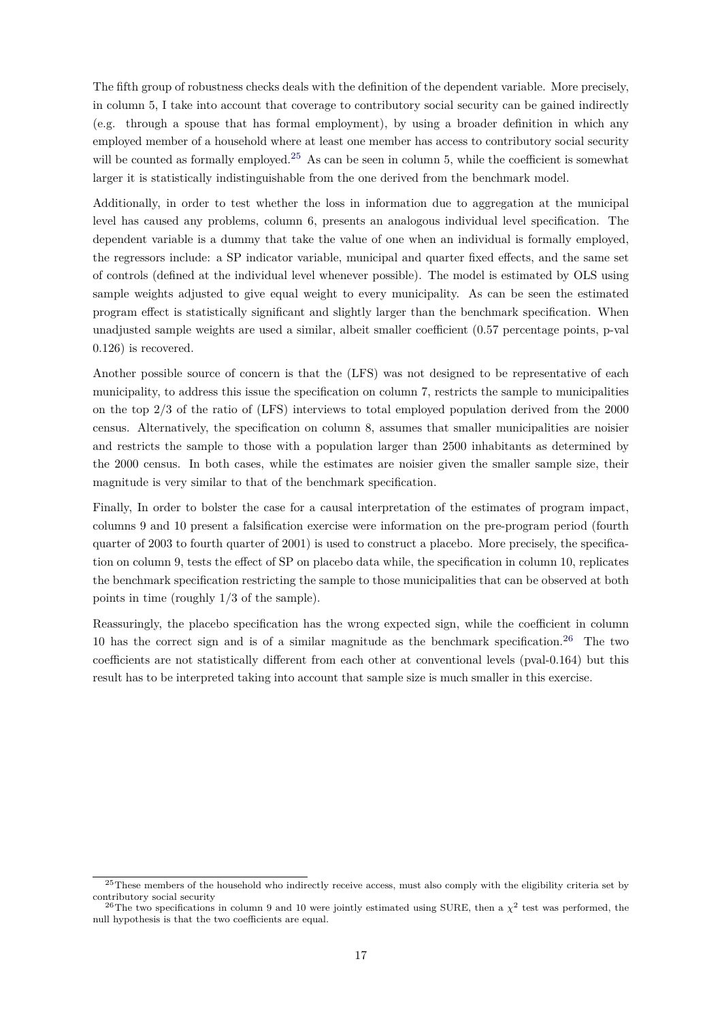The fifth group of robustness checks deals with the definition of the dependent variable. More precisely, in column 5, I take into account that coverage to contributory social security can be gained indirectly (e.g. through a spouse that has formal employment), by using a broader definition in which any employed member of a household where at least one member has access to contributory social security will be counted as formally employed.<sup>[25](#page-0-0)</sup> As can be seen in column 5, while the coefficient is somewhat larger it is statistically indistinguishable from the one derived from the benchmark model.

Additionally, in order to test whether the loss in information due to aggregation at the municipal level has caused any problems, column 6, presents an analogous individual level specification. The dependent variable is a dummy that take the value of one when an individual is formally employed, the regressors include: a SP indicator variable, municipal and quarter fixed effects, and the same set of controls (defined at the individual level whenever possible). The model is estimated by OLS using sample weights adjusted to give equal weight to every municipality. As can be seen the estimated program effect is statistically significant and slightly larger than the benchmark specification. When unadjusted sample weights are used a similar, albeit smaller coefficient (0.57 percentage points, p-val 0.126) is recovered.

Another possible source of concern is that the (LFS) was not designed to be representative of each municipality, to address this issue the specification on column 7, restricts the sample to municipalities on the top 2/3 of the ratio of (LFS) interviews to total employed population derived from the 2000 census. Alternatively, the specification on column 8, assumes that smaller municipalities are noisier and restricts the sample to those with a population larger than 2500 inhabitants as determined by the 2000 census. In both cases, while the estimates are noisier given the smaller sample size, their magnitude is very similar to that of the benchmark specification.

Finally, In order to bolster the case for a causal interpretation of the estimates of program impact, columns 9 and 10 present a falsification exercise were information on the pre-program period (fourth quarter of 2003 to fourth quarter of 2001) is used to construct a placebo. More precisely, the specification on column 9, tests the effect of SP on placebo data while, the specification in column 10, replicates the benchmark specification restricting the sample to those municipalities that can be observed at both points in time (roughly 1/3 of the sample).

Reassuringly, the placebo specification has the wrong expected sign, while the coefficient in column 10 has the correct sign and is of a similar magnitude as the benchmark specification.<sup>[26](#page-0-0)</sup> The two coefficients are not statistically different from each other at conventional levels (pval-0.164) but this result has to be interpreted taking into account that sample size is much smaller in this exercise.

<sup>&</sup>lt;sup>25</sup>These members of the household who indirectly receive access, must also comply with the eligibility criteria set by contributory social security

<sup>&</sup>lt;sup>26</sup>The two specifications in column 9 and 10 were jointly estimated using SURE, then a  $\chi^2$  test was performed, the null hypothesis is that the two coefficients are equal.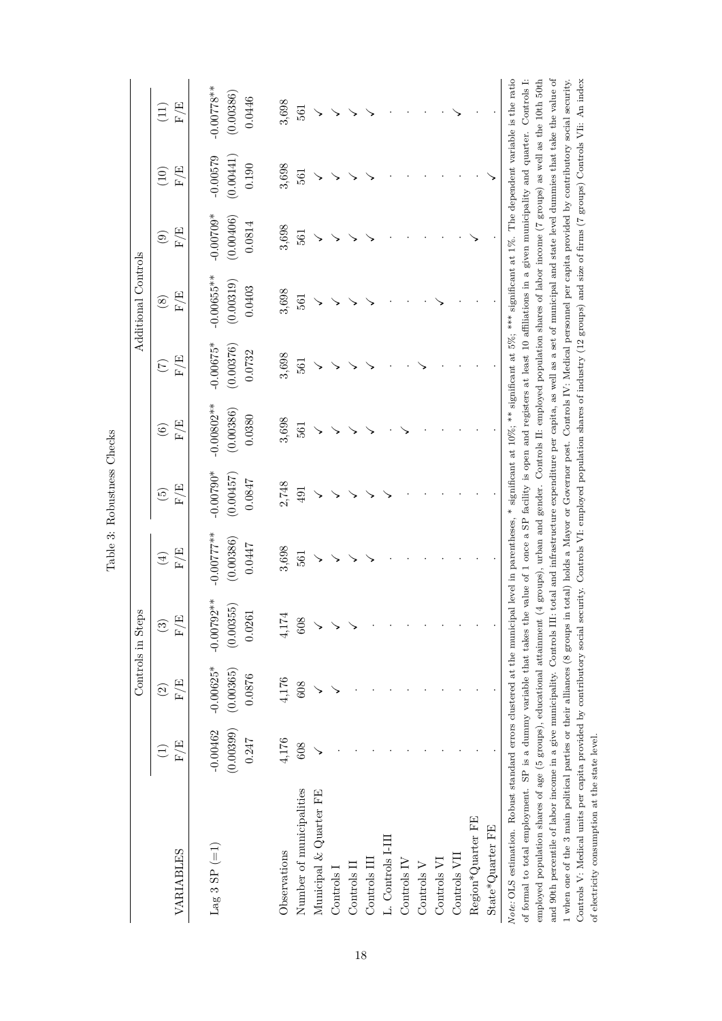<span id="page-17-0"></span>

|                                                                                                                                                                                                                                                                            |                         |             | Controls in Steps         |                           |                          |                                                                                                                                                |                 | Additional Controls |             |            |              |
|----------------------------------------------------------------------------------------------------------------------------------------------------------------------------------------------------------------------------------------------------------------------------|-------------------------|-------------|---------------------------|---------------------------|--------------------------|------------------------------------------------------------------------------------------------------------------------------------------------|-----------------|---------------------|-------------|------------|--------------|
|                                                                                                                                                                                                                                                                            | $\widehat{\Xi}$         | $\odot$     | $\widehat{\mathcal{C}}$   | $\bigoplus$               | $\widetilde{\mathbf{G}}$ | $\odot$                                                                                                                                        | $\widetilde{C}$ | $\circledast$       | $\odot$     | (10)       | (11)         |
| VARIABLES                                                                                                                                                                                                                                                                  | $\mathbb{F}/\mathbb{E}$ | F/E         | $\mathcal{F}/\mathcal{E}$ | $\mathcal{F}/\mathcal{E}$ | $\mathbb{F}/\mathbb{E}$  | $\mathcal{F}/\mathcal{E}$                                                                                                                      | F/E             | F/E                 | F/E         | $\rm F/E$  | F/E          |
| Lag 3 SP $(=1)$                                                                                                                                                                                                                                                            | $-0.00462$              | $-0.00625*$ | $-0.00792**$              | $-0.00777$ **             | $-0.00790*$              | $-0.00802**$                                                                                                                                   | $-0.00675*$     | $-0.000655**$       | $-0.00709*$ | $-0.00579$ | $-0.00778**$ |
|                                                                                                                                                                                                                                                                            | (0.00399)               | (0.00365)   | (0.00355)                 | (0.00386)                 | (0.00457)                | (0.00386)                                                                                                                                      | (0.00376)       | (0.00319)           | (0.00406)   | (0.00441)  | (0.00386)    |
|                                                                                                                                                                                                                                                                            | 0.247                   | 0.0876      | 0.0261                    | 0.0447                    | $0.0847\,$               | 0.0380                                                                                                                                         | 0.0732          | 0.0403              | 0.0814      | 0.190      | 0.0446       |
| Observations                                                                                                                                                                                                                                                               | 4,176                   | $4,176$     | $4,174$                   | 3,698                     | 2,748                    | $3,698$                                                                                                                                        | $3,698$         | 3,698               | 3,698       | $3,698$    | 3,698        |
| Number of municipalities                                                                                                                                                                                                                                                   | 608                     | 608         | 608                       | 561                       | 491                      | 561                                                                                                                                            | 561             | 561                 | 561         | 561        | 561          |
| Municipal & Quarter FE                                                                                                                                                                                                                                                     |                         |             |                           |                           |                          |                                                                                                                                                |                 |                     |             |            |              |
| Controls                                                                                                                                                                                                                                                                   |                         |             |                           |                           |                          |                                                                                                                                                |                 |                     |             |            |              |
| $\frac{1}{2}$                                                                                                                                                                                                                                                              |                         |             |                           |                           |                          |                                                                                                                                                |                 |                     |             |            |              |
| Controls III                                                                                                                                                                                                                                                               |                         |             |                           |                           |                          |                                                                                                                                                |                 |                     |             |            |              |
| L. Controls I-III                                                                                                                                                                                                                                                          |                         |             |                           |                           |                          |                                                                                                                                                |                 |                     |             |            |              |
| Controls IV                                                                                                                                                                                                                                                                |                         |             |                           |                           |                          |                                                                                                                                                |                 |                     |             |            |              |
| Controls ${\rm V}$                                                                                                                                                                                                                                                         |                         |             |                           |                           |                          |                                                                                                                                                |                 |                     |             |            |              |
| Controls VI                                                                                                                                                                                                                                                                |                         |             |                           |                           |                          |                                                                                                                                                |                 |                     |             |            |              |
| Controls VII                                                                                                                                                                                                                                                               |                         |             |                           |                           |                          |                                                                                                                                                |                 |                     |             |            |              |
| Region*Quarter FE                                                                                                                                                                                                                                                          |                         |             |                           |                           |                          |                                                                                                                                                |                 |                     |             |            |              |
| State*Quarter FE                                                                                                                                                                                                                                                           |                         |             |                           |                           |                          |                                                                                                                                                |                 |                     |             |            |              |
| Note: OLS estimation. Robust standard errors clustered at the municipal level in parentheses, * significant at $10\%$ ; ** significant at $5\%$ ; *** significant at $1\%$ . The dependent variable is the ratio                                                           |                         |             |                           |                           |                          |                                                                                                                                                |                 |                     |             |            |              |
| of formal to total employment. SP is a dummy variable that takes the value of 1 once a SP facility is open and registers at least 10 affiliations in a given municipality and quarter. Controls I:<br>employed population shares of age (5 groups), educational attainment |                         |             |                           |                           |                          | $(4 \text{ groups})$ , urban and gender. Controls II: employed population shares of labor income $(7 \text{ groups})$ as well as the 10th 50th |                 |                     |             |            |              |
| and 90th percentile of labor income in a give municipality. Controls III: total and infrastructure expenditure per capita, as well as a set of municipal and state level dummies that take the value of                                                                    |                         |             |                           |                           |                          |                                                                                                                                                |                 |                     |             |            |              |
| 1 when one of the 3 main political parties or their alliances (8 groups in total) holds a Mayor or Governor post. Controls IV: Medical personnel per capita provided by contributory social security.                                                                      |                         |             |                           |                           |                          |                                                                                                                                                |                 |                     |             |            |              |
| Controls V: Medical units per capita provided by contributory social security. Controls VI: employed population shares of industry (12 groups) and size of firms (7 groups) Controls VII: An index                                                                         |                         |             |                           |                           |                          |                                                                                                                                                |                 |                     |             |            |              |
| of electricity consumption at the state level.                                                                                                                                                                                                                             |                         |             |                           |                           |                          |                                                                                                                                                |                 |                     |             |            |              |

18

Table 3: Bobustness Checks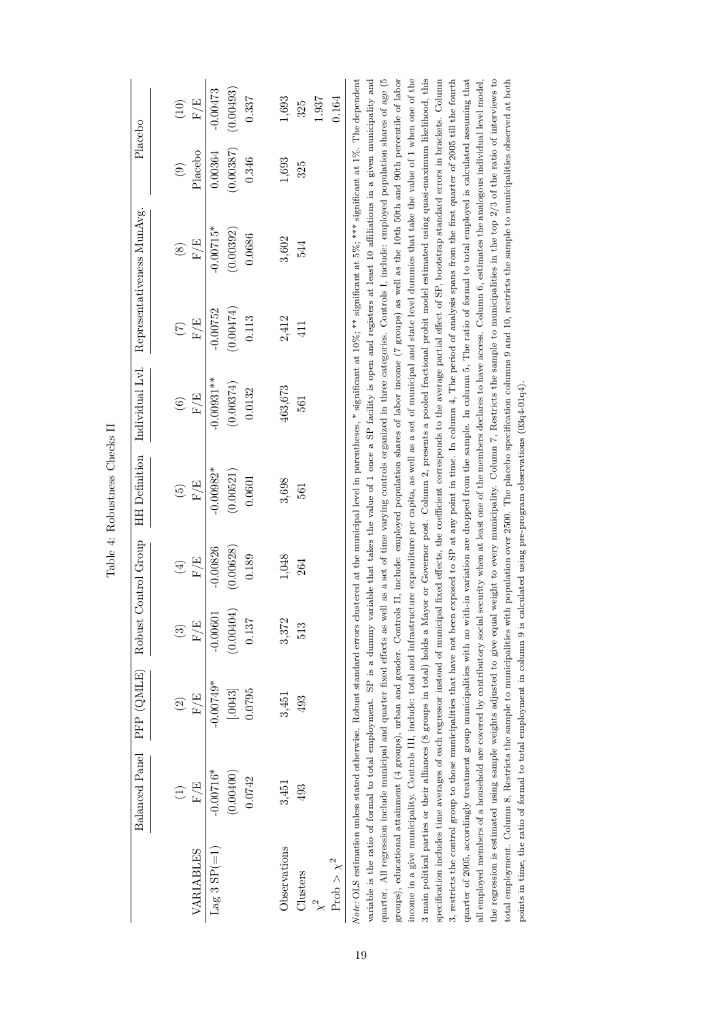<span id="page-18-0"></span>

|                        |                                                                                                                                                                                                                                                                                                                                                                                                                                                                                            |                    |                        |             | Table 4: Robustness Checks II |                                                                                                                                             |                 |                            |           |            |
|------------------------|--------------------------------------------------------------------------------------------------------------------------------------------------------------------------------------------------------------------------------------------------------------------------------------------------------------------------------------------------------------------------------------------------------------------------------------------------------------------------------------------|--------------------|------------------------|-------------|-------------------------------|---------------------------------------------------------------------------------------------------------------------------------------------|-----------------|----------------------------|-----------|------------|
|                        | Balanced Panel                                                                                                                                                                                                                                                                                                                                                                                                                                                                             | PFP (QMLE)         | Robust Control Group   |             | <b>HH</b> Definition          | Individual Lvl.                                                                                                                             |                 | Representativeness MunAvg. | Placebo   |            |
|                        | $\widehat{\Xi}$                                                                                                                                                                                                                                                                                                                                                                                                                                                                            | $\widehat{\infty}$ | $\widehat{\mathbf{e}}$ | $\bigoplus$ | $\widetilde{\mathbf{e}}$      | $\circledcirc$                                                                                                                              | $\widetilde{C}$ | $\circledast$              | $\odot$   | (10)       |
| VARIABLES              | F/E                                                                                                                                                                                                                                                                                                                                                                                                                                                                                        | F/E                | F/E                    | F/E         | F/E                           | $\mathrm{F}/\mathrm{E}$                                                                                                                     | F/E             | F/E                        | Placebo   | F/E        |
| Lag 3 $SP(=1)$         | $-0.00716*$                                                                                                                                                                                                                                                                                                                                                                                                                                                                                | $-0.00749*$        | $-0.00601$             | $-0.00826$  | $-0.00982*$                   | $-0.00931**$                                                                                                                                | $-0.00752$      | $-0.00715*$                | 0.00364   | $-0.00473$ |
|                        | (0.00400)                                                                                                                                                                                                                                                                                                                                                                                                                                                                                  | [.0043]            | (0.00404)              | (0.00628)   | (0.00521)                     | (0.00374)                                                                                                                                   | (0.00474)       | (0.00392)                  | (0.00387) | (0.00493)  |
|                        | 0.0742                                                                                                                                                                                                                                                                                                                                                                                                                                                                                     | 0.0795             | 0.137                  | 0.189       | 0.0601                        | 0.0132                                                                                                                                      | 0.113           | 0.0686                     | 0.346     | 0.337      |
| Observations           | 3,451                                                                                                                                                                                                                                                                                                                                                                                                                                                                                      | 3,451              | 3,372                  | $1,048$     | 3,698                         | 463,673                                                                                                                                     | 2,412           | 3,602                      | $1,693\,$ | 1,693      |
| Clusters               | 493                                                                                                                                                                                                                                                                                                                                                                                                                                                                                        | 493                | 513                    | 264         | 561                           | 561                                                                                                                                         | 411             | 544                        | 325       | 325        |
|                        |                                                                                                                                                                                                                                                                                                                                                                                                                                                                                            |                    |                        |             |                               |                                                                                                                                             |                 |                            |           | 1.937      |
| $\mathrm{Prob}>\chi^2$ |                                                                                                                                                                                                                                                                                                                                                                                                                                                                                            |                    |                        |             |                               |                                                                                                                                             |                 |                            |           | 0.164      |
|                        | quarter. All regression include municipal and quarter fixed effects as well as a set of time varying controls organized in three categories. Controls I, include: employed population shares of age (5)<br>variable is the ratio of formal to total employment. SP is a dummy variable that takes the value of 1 once a SP facility is open and registers at least 10 affiliations in a given municipality and<br>Note: OLS estimation unless stated otherwise. Robust standard errors clu |                    |                        |             |                               | istered at the municipal level in parentheses, * significant at $10\%$ ; ** significant at $5\%$ , *** significant at $1\%$ . The dependent |                 |                            |           |            |
|                        | groups), educational attainment (4 groups), urban and gender. Controls II, include: employed population shares of labor income (7 groups) as well as the 10th 50th and 90th percentile of labor                                                                                                                                                                                                                                                                                            |                    |                        |             |                               |                                                                                                                                             |                 |                            |           |            |
|                        | income in a give municipality. Controls III, include: total and infrastructure expenditure per capita, as well as a set of municipal and state level dummies that take the value of 1 when one of the<br>3 main political parties or their alliances (8 groups in total) holds a Mayor or Governor post. Column 2, presents a pooled fractional probit model estimated using quasi-maximum likelihood, this                                                                                |                    |                        |             |                               |                                                                                                                                             |                 |                            |           |            |
|                        | specification includes time averages of each regressor instead of municipal fixed effects, the coefficient corresponds to the average partial effect of SP, bootstrap standard errors in brackets. Column                                                                                                                                                                                                                                                                                  |                    |                        |             |                               |                                                                                                                                             |                 |                            |           |            |
|                        | 3, restricts the control group to those municipalities that have not been exposed to SP at any point in time. In column 4, The period of analysis spans from the first quarter of 2005 till the fourth                                                                                                                                                                                                                                                                                     |                    |                        |             |                               |                                                                                                                                             |                 |                            |           |            |
|                        | quarter of 2005, accordingly treatment group municipalities with no with-in variation are dropped from the sample. In column 5, The ratio of formal to total employed is calculated assuming that                                                                                                                                                                                                                                                                                          |                    |                        |             |                               |                                                                                                                                             |                 |                            |           |            |
|                        | all employed members of a household are covered by contributory social security when at least one of the members declares to have access. Column 6, estimates the analogous individual level model,                                                                                                                                                                                                                                                                                        |                    |                        |             |                               |                                                                                                                                             |                 |                            |           |            |
|                        | the regression is estimated using sample weights adjusted to give equal                                                                                                                                                                                                                                                                                                                                                                                                                    |                    |                        |             |                               | weight to every municipality. Column 7, Restricts the sample to municipalities in the top 2/3 of the ratio of interviews to                 |                 |                            |           |            |
|                        | total employment. Column 8, Restricts the sample to municipalities with population over 2500. The placebo specification columns 9 and 10, restricts the sample to municipalities observed at both                                                                                                                                                                                                                                                                                          |                    |                        |             |                               |                                                                                                                                             |                 |                            |           |            |
|                        | points in time, the ratio of formal to total employment in column 9 is calculated using pre-program observations $(03q4-01q4)$ .                                                                                                                                                                                                                                                                                                                                                           |                    |                        |             |                               |                                                                                                                                             |                 |                            |           |            |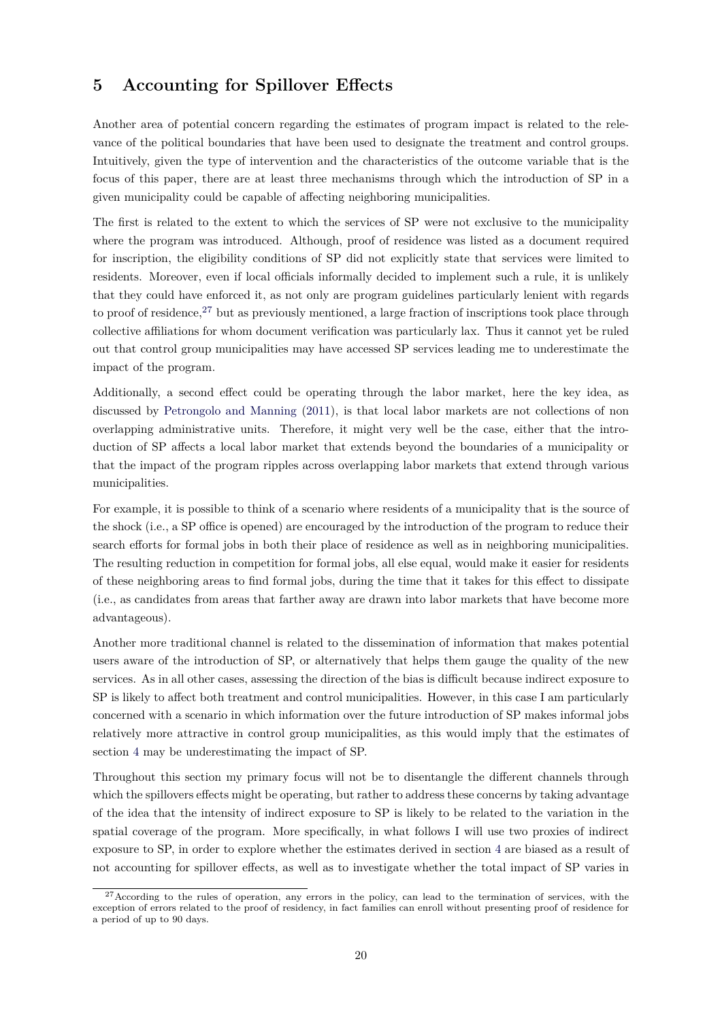## **5 Accounting for Spillover Effects**

Another area of potential concern regarding the estimates of program impact is related to the relevance of the political boundaries that have been used to designate the treatment and control groups. Intuitively, given the type of intervention and the characteristics of the outcome variable that is the focus of this paper, there are at least three mechanisms through which the introduction of SP in a given municipality could be capable of affecting neighboring municipalities.

The first is related to the extent to which the services of SP were not exclusive to the municipality where the program was introduced. Although, proof of residence was listed as a document required for inscription, the eligibility conditions of SP did not explicitly state that services were limited to residents. Moreover, even if local officials informally decided to implement such a rule, it is unlikely that they could have enforced it, as not only are program guidelines particularly lenient with regards to proof of residence,  $27$  but as previously mentioned, a large fraction of inscriptions took place through collective affiliations for whom document verification was particularly lax. Thus it cannot yet be ruled out that control group municipalities may have accessed SP services leading me to underestimate the impact of the program.

Additionally, a second effect could be operating through the labor market, here the key idea, as discussed by [Petrongolo and Manning](#page-28-16) [\(2011\)](#page-28-16), is that local labor markets are not collections of non overlapping administrative units. Therefore, it might very well be the case, either that the introduction of SP affects a local labor market that extends beyond the boundaries of a municipality or that the impact of the program ripples across overlapping labor markets that extend through various municipalities.

For example, it is possible to think of a scenario where residents of a municipality that is the source of the shock (i.e., a SP office is opened) are encouraged by the introduction of the program to reduce their search efforts for formal jobs in both their place of residence as well as in neighboring municipalities. The resulting reduction in competition for formal jobs, all else equal, would make it easier for residents of these neighboring areas to find formal jobs, during the time that it takes for this effect to dissipate (i.e., as candidates from areas that farther away are drawn into labor markets that have become more advantageous).

Another more traditional channel is related to the dissemination of information that makes potential users aware of the introduction of SP, or alternatively that helps them gauge the quality of the new services. As in all other cases, assessing the direction of the bias is difficult because indirect exposure to SP is likely to affect both treatment and control municipalities. However, in this case I am particularly concerned with a scenario in which information over the future introduction of SP makes informal jobs relatively more attractive in control group municipalities, as this would imply that the estimates of section [4](#page-12-0) may be underestimating the impact of SP.

Throughout this section my primary focus will not be to disentangle the different channels through which the spillovers effects might be operating, but rather to address these concerns by taking advantage of the idea that the intensity of indirect exposure to SP is likely to be related to the variation in the spatial coverage of the program. More specifically, in what follows I will use two proxies of indirect exposure to SP, in order to explore whether the estimates derived in section [4](#page-12-0) are biased as a result of not accounting for spillover effects, as well as to investigate whether the total impact of SP varies in

<sup>&</sup>lt;sup>27</sup>According to the rules of operation, any errors in the policy, can lead to the termination of services, with the exception of errors related to the proof of residency, in fact families can enroll without presenting proof of residence for a period of up to 90 days.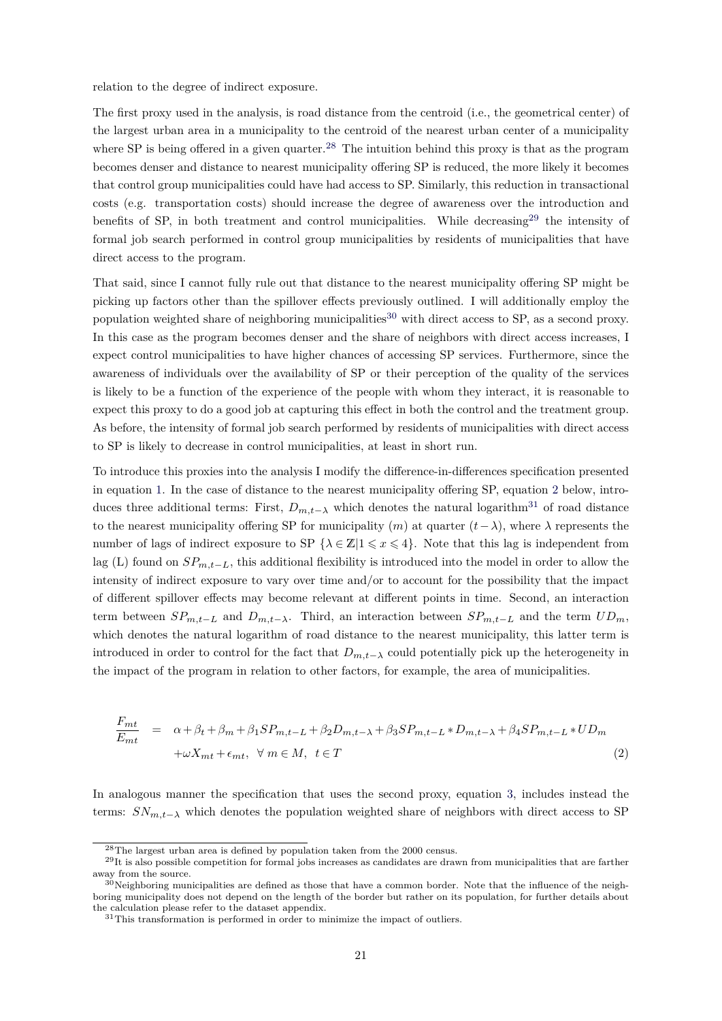relation to the degree of indirect exposure.

The first proxy used in the analysis, is road distance from the centroid (i.e., the geometrical center) of the largest urban area in a municipality to the centroid of the nearest urban center of a municipality where SP is being offered in a given quarter.<sup>[28](#page-0-0)</sup> The intuition behind this proxy is that as the program becomes denser and distance to nearest municipality offering SP is reduced, the more likely it becomes that control group municipalities could have had access to SP. Similarly, this reduction in transactional costs (e.g. transportation costs) should increase the degree of awareness over the introduction and benefits of SP, in both treatment and control municipalities. While decreasing<sup>[29](#page-0-0)</sup> the intensity of formal job search performed in control group municipalities by residents of municipalities that have direct access to the program.

That said, since I cannot fully rule out that distance to the nearest municipality offering SP might be picking up factors other than the spillover effects previously outlined. I will additionally employ the population weighted share of neighboring municipalities<sup>[30](#page-0-0)</sup> with direct access to SP, as a second proxy. In this case as the program becomes denser and the share of neighbors with direct access increases, I expect control municipalities to have higher chances of accessing SP services. Furthermore, since the awareness of individuals over the availability of SP or their perception of the quality of the services is likely to be a function of the experience of the people with whom they interact, it is reasonable to expect this proxy to do a good job at capturing this effect in both the control and the treatment group. As before, the intensity of formal job search performed by residents of municipalities with direct access to SP is likely to decrease in control municipalities, at least in short run.

To introduce this proxies into the analysis I modify the difference-in-differences specification presented in equation [1.](#page-12-1) In the case of distance to the nearest municipality offering SP, equation [2](#page-20-0) below, introduces three additional terms: First,  $D_{m,t-\lambda}$  which denotes the natural logarithm<sup>[31](#page-0-0)</sup> of road distance to the nearest municipality offering SP for municipality  $(m)$  at quarter  $(t-\lambda)$ , where  $\lambda$  represents the number of lags of indirect exposure to SP  $\{\lambda \in \mathbb{Z} | 1 \leq x \leq 4\}$ . Note that this lag is independent from lag (L) found on *SPm,t*−*L*, this additional flexibility is introduced into the model in order to allow the intensity of indirect exposure to vary over time and/or to account for the possibility that the impact of different spillover effects may become relevant at different points in time. Second, an interaction term between  $SP_{m,t-L}$  and  $D_{m,t-\lambda}$ . Third, an interaction between  $SP_{m,t-L}$  and the term  $UD_m$ , which denotes the natural logarithm of road distance to the nearest municipality, this latter term is introduced in order to control for the fact that  $D_{m,t-\lambda}$  could potentially pick up the heterogeneity in the impact of the program in relation to other factors, for example, the area of municipalities.

<span id="page-20-0"></span>
$$
\frac{F_{mt}}{E_{mt}} = \alpha + \beta_t + \beta_m + \beta_1 SP_{m,t-L} + \beta_2 D_{m,t-\lambda} + \beta_3 SP_{m,t-L} * D_{m,t-\lambda} + \beta_4 SP_{m,t-L} * UD_m
$$
  
+
$$
\omega X_{mt} + \epsilon_{mt}, \ \forall \ m \in M, \ t \in T
$$
\n(2)

In analogous manner the specification that uses the second proxy, equation [3,](#page-21-0) includes instead the terms:  $SN_{m,t-\lambda}$  which denotes the population weighted share of neighbors with direct access to SP

<sup>28</sup>The largest urban area is defined by population taken from the 2000 census.

<sup>&</sup>lt;sup>29</sup>It is also possible competition for formal jobs increases as candidates are drawn from municipalities that are farther away from the source.

 $30$ Neighboring municipalities are defined as those that have a common border. Note that the influence of the neighboring municipality does not depend on the length of the border but rather on its population, for further details about the calculation please refer to the dataset appendix.

 $31$ This transformation is performed in order to minimize the impact of outliers.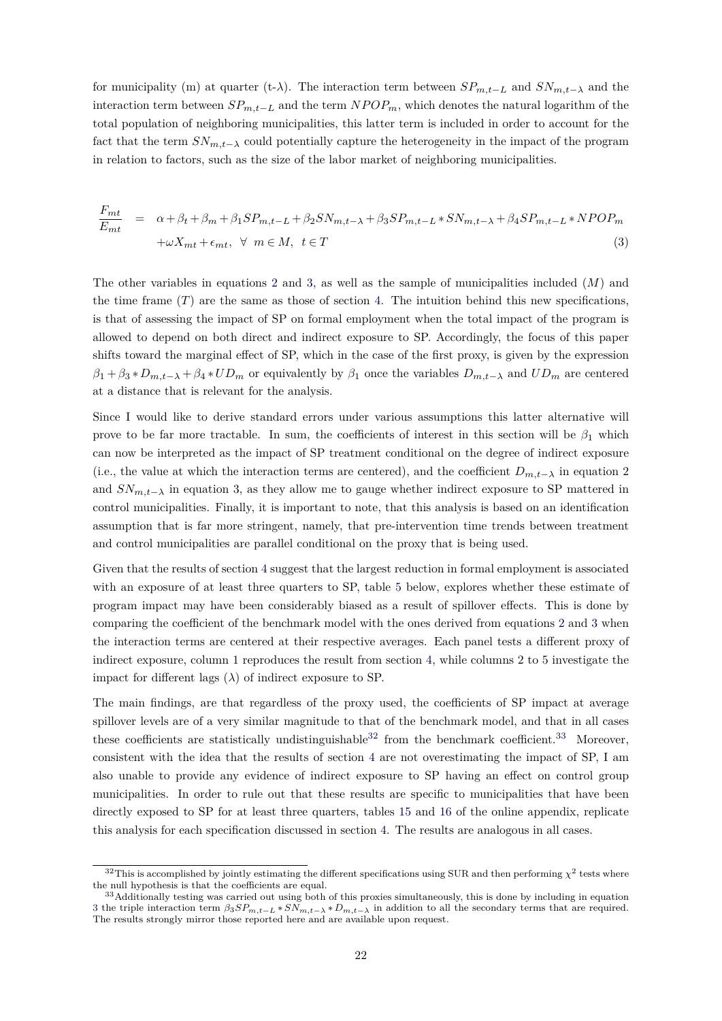for municipality (m) at quarter (t- $\lambda$ ). The interaction term between  $SP_{m,t-L}$  and  $SN_{m,t-\lambda}$  and the interaction term between  $SP_{m,t-L}$  and the term  $NPOP_m$ , which denotes the natural logarithm of the total population of neighboring municipalities, this latter term is included in order to account for the fact that the term  $SN_{m,t-\lambda}$  could potentially capture the heterogeneity in the impact of the program in relation to factors, such as the size of the labor market of neighboring municipalities.

<span id="page-21-0"></span>
$$
\frac{F_{mt}}{E_{mt}} = \alpha + \beta_t + \beta_m + \beta_1 SP_{m,t-L} + \beta_2 SN_{m,t-\lambda} + \beta_3 SP_{m,t-L} * SN_{m,t-\lambda} + \beta_4 SP_{m,t-L} * NPOP_m
$$
  
+ $\omega X_{mt} + \epsilon_{mt}, \forall m \in M, t \in T$  (3)

The other variables in equations [2](#page-20-0) and [3,](#page-21-0) as well as the sample of municipalities included (*M*) and the time frame  $(T)$  are the same as those of section [4.](#page-12-0) The intuition behind this new specifications, is that of assessing the impact of SP on formal employment when the total impact of the program is allowed to depend on both direct and indirect exposure to SP. Accordingly, the focus of this paper shifts toward the marginal effect of SP, which in the case of the first proxy, is given by the expression  $\beta_1 + \beta_3 * D_{m,t-\lambda} + \beta_4 * UD_m$  or equivalently by  $\beta_1$  once the variables  $D_{m,t-\lambda}$  and  $UD_m$  are centered at a distance that is relevant for the analysis.

Since I would like to derive standard errors under various assumptions this latter alternative will prove to be far more tractable. In sum, the coefficients of interest in this section will be  $\beta_1$  which can now be interpreted as the impact of SP treatment conditional on the degree of indirect exposure (i.e., the value at which the interaction terms are centered), and the coefficient  $D_{m,t-\lambda}$  in equation 2 and  $SN_{m,t-\lambda}$  in equation 3, as they allow me to gauge whether indirect exposure to SP mattered in control municipalities. Finally, it is important to note, that this analysis is based on an identification assumption that is far more stringent, namely, that pre-intervention time trends between treatment and control municipalities are parallel conditional on the proxy that is being used.

Given that the results of section [4](#page-12-0) suggest that the largest reduction in formal employment is associated with an exposure of at least three quarters to SP, table [5](#page-22-0) below, explores whether these estimate of program impact may have been considerably biased as a result of spillover effects. This is done by comparing the coefficient of the benchmark model with the ones derived from equations [2](#page-20-0) and [3](#page-21-0) when the interaction terms are centered at their respective averages. Each panel tests a different proxy of indirect exposure, column 1 reproduces the result from section [4,](#page-12-0) while columns 2 to 5 investigate the impact for different lags  $(\lambda)$  of indirect exposure to SP.

The main findings, are that regardless of the proxy used, the coefficients of SP impact at average spillover levels are of a very similar magnitude to that of the benchmark model, and that in all cases these coefficients are statistically undistinguishable  $32$  from the benchmark coefficient.  $33$  Moreover, consistent with the idea that the results of section [4](#page-12-0) are not overestimating the impact of SP, I am also unable to provide any evidence of indirect exposure to SP having an effect on control group municipalities. In order to rule out that these results are specific to municipalities that have been directly exposed to SP for at least three quarters, tables [15](http://www.parisschoolofeconomics.eu/docs/del-valle-suarez-alejandro/appendices_res.pdf#table.caption.16) and [16](http://www.parisschoolofeconomics.eu/docs/del-valle-suarez-alejandro/appendices_res.pdf#table.caption.18) of the online appendix, replicate this analysis for each specification discussed in section [4.](#page-12-0) The results are analogous in all cases.

 $32$ This is accomplished by jointly estimating the different specifications using SUR and then performing  $\chi^2$  tests where the null hypothesis is that the coefficients are equal.

<sup>&</sup>lt;sup>33</sup>Additionally testing was carried out using both of this proxies simultaneously, this is done by including in equation [3](#page-21-0) the triple interaction term  $\beta_3 SP_{m,t-L} * SN_{m,t-\lambda} * D_{m,t-\lambda}$  in addition to all the secondary terms that are required. The results strongly mirror those reported here and are available upon request.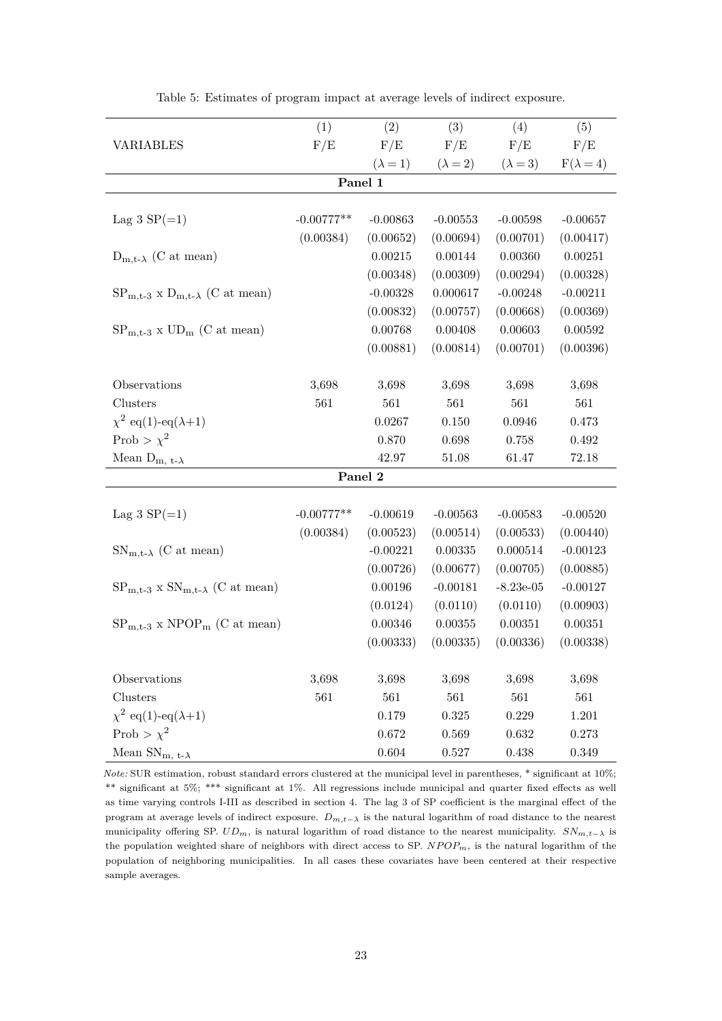<span id="page-22-0"></span>

|                                               | (1)          | (2)             | (3)             | (4)             | (5)              |
|-----------------------------------------------|--------------|-----------------|-----------------|-----------------|------------------|
| <b>VARIABLES</b>                              | F/E          | F/E             | F/E             | F/E             | F/E              |
|                                               |              | $(\lambda = 1)$ | $(\lambda = 2)$ | $(\lambda = 3)$ | $F(\lambda = 4)$ |
|                                               |              | Panel 1         |                 |                 |                  |
|                                               |              |                 |                 |                 |                  |
| Lag 3 $SP(=1)$                                | $-0.00777**$ | $-0.00863$      | $-0.00553$      | $-0.00598$      | $-0.00657$       |
|                                               | (0.00384)    | (0.00652)       | (0.00694)       | (0.00701)       | (0.00417)        |
| $D_{m,t-\lambda}$ (C at mean)                 |              | 0.00215         | 0.00144         | 0.00360         | 0.00251          |
|                                               |              | (0.00348)       | (0.00309)       | (0.00294)       | (0.00328)        |
| $SP_{m,t-3}$ x $D_{m,t-\lambda}$ (C at mean)  |              | $-0.00328$      | 0.000617        | $-0.00248$      | $-0.00211$       |
|                                               |              | (0.00832)       | (0.00757)       | (0.00668)       | (0.00369)        |
| $SP_{m,t-3}$ x $UD_m$ (C at mean)             |              | 0.00768         | 0.00408         | 0.00603         | 0.00592          |
|                                               |              | (0.00881)       | (0.00814)       | (0.00701)       | (0.00396)        |
|                                               |              |                 |                 |                 |                  |
| Observations                                  | 3,698        | 3,698           | 3,698           | 3,698           | 3,698            |
| Clusters                                      | 561          | 561             | 561             | 561             | 561              |
| $\chi^2$ eq(1)-eq( $\lambda+1$ )              |              | 0.0267          | 0.150           | 0.0946          | 0.473            |
| Prob > $\chi^2$                               |              | 0.870           | 0.698           | 0.758           | $\,0.492\,$      |
| Mean $D_{m, t-\lambda}$                       |              | $42.97\,$       | $51.08\,$       | 61.47           | 72.18            |
|                                               |              | Panel 2         |                 |                 |                  |
|                                               |              |                 |                 |                 |                  |
| Lag 3 $SP(=1)$                                | $-0.00777**$ | $-0.00619$      | $-0.00563$      | $-0.00583$      | $-0.00520$       |
|                                               | (0.00384)    | (0.00523)       | (0.00514)       | (0.00533)       | (0.00440)        |
| $SN_{m,t-\lambda}$ (C at mean)                |              | $-0.00221$      | $0.00335\,$     | 0.000514        | $-0.00123$       |
|                                               |              | (0.00726)       | (0.00677)       | (0.00705)       | (0.00885)        |
| $SP_{m,t-3}$ x $SN_{m,t-\lambda}$ (C at mean) |              | 0.00196         | $-0.00181$      | $-8.23e-05$     | $-0.00127$       |
|                                               |              | (0.0124)        | (0.0110)        | (0.0110)        | (0.00903)        |
| $SP_{m,t-3}$ x NPOP <sub>m</sub> (C at mean)  |              | 0.00346         | 0.00355         | 0.00351         | 0.00351          |
|                                               |              | (0.00333)       | (0.00335)       | (0.00336)       | (0.00338)        |
|                                               |              |                 |                 |                 |                  |
| Observations                                  | 3,698        | 3,698           | 3,698           | 3,698           | 3,698            |
| Clusters                                      | 561          | 561             | 561             | 561             | 561              |
| $\chi^2$ eq(1)-eq( $\lambda+1$ )              |              | 0.179           | 0.325           | 0.229           | 1.201            |
| Prob > $\chi^2$                               |              | 0.672           | 0.569           | 0.632           | 0.273            |
| Mean $SN_{m, t-\lambda}$                      |              | 0.604           | $0.527\,$       | 0.438           | 0.349            |

Table 5: Estimates of program impact at average levels of indirect exposure.

*Note:* SUR estimation, robust standard errors clustered at the municipal level in parentheses, \* significant at 10%; \*\* significant at 5%; \*\*\* significant at 1%. All regressions include municipal and quarter fixed effects as well as time varying controls I-III as described in section [4.](#page-12-0) The lag 3 of SP coefficient is the marginal effect of the program at average levels of indirect exposure. *Dm,t*−*<sup>λ</sup>* is the natural logarithm of road distance to the nearest municipality offering SP.  $UD_m$ , is natural logarithm of road distance to the nearest municipality.  $SN_{m,t-\lambda}$  is the population weighted share of neighbors with direct access to SP. *NP OPm*, is the natural logarithm of the population of neighboring municipalities. In all cases these covariates have been centered at their respective sample averages.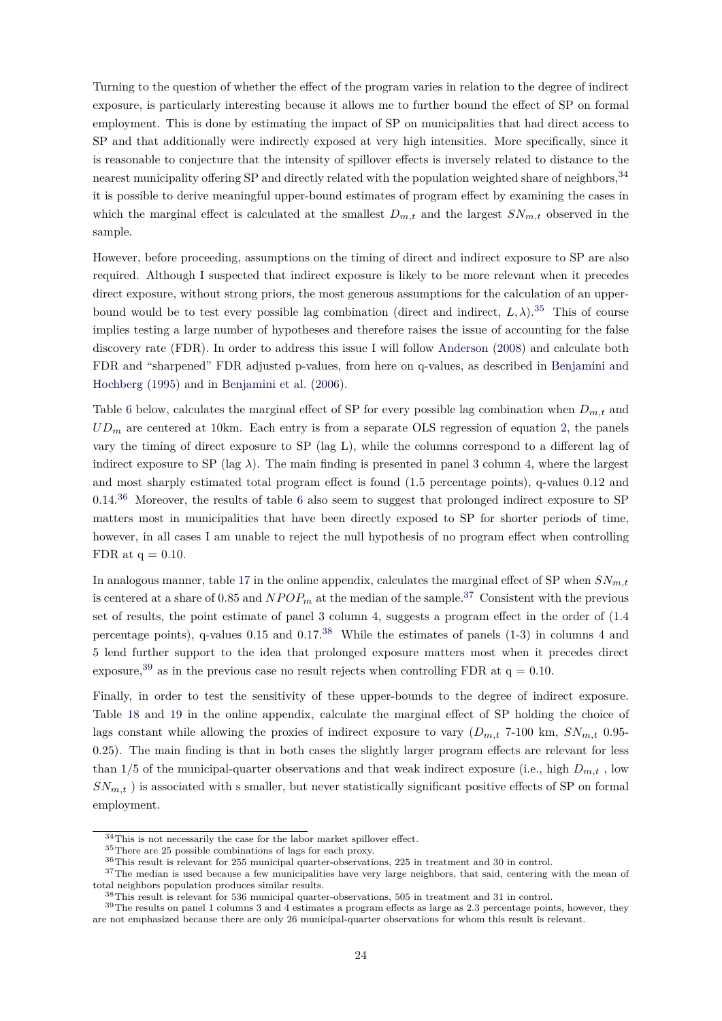Turning to the question of whether the effect of the program varies in relation to the degree of indirect exposure, is particularly interesting because it allows me to further bound the effect of SP on formal employment. This is done by estimating the impact of SP on municipalities that had direct access to SP and that additionally were indirectly exposed at very high intensities. More specifically, since it is reasonable to conjecture that the intensity of spillover effects is inversely related to distance to the nearest municipality offering SP and directly related with the population weighted share of neighbors, <sup>[34](#page-0-0)</sup> it is possible to derive meaningful upper-bound estimates of program effect by examining the cases in which the marginal effect is calculated at the smallest  $D_{m,t}$  and the largest  $SN_{m,t}$  observed in the sample.

However, before proceeding, assumptions on the timing of direct and indirect exposure to SP are also required. Although I suspected that indirect exposure is likely to be more relevant when it precedes direct exposure, without strong priors, the most generous assumptions for the calculation of an upperbound would be to test every possible lag combination (direct and indirect,  $L, \lambda$ ).<sup>[35](#page-0-0)</sup> This of course implies testing a large number of hypotheses and therefore raises the issue of accounting for the false discovery rate (FDR). In order to address this issue I will follow [Anderson](#page-27-9) [\(2008\)](#page-27-9) and calculate both FDR and "sharpened" FDR adjusted p-values, from here on q-values, as described in [Benjamini and](#page-27-10) [Hochberg](#page-27-10) [\(1995\)](#page-27-10) and in [Benjamini et al.](#page-27-11) [\(2006\)](#page-27-11).

Table [6](#page-24-0) below, calculates the marginal effect of SP for every possible lag combination when  $D_{m,t}$  and *UD<sup>m</sup>* are centered at 10km. Each entry is from a separate OLS regression of equation [2,](#page-20-0) the panels vary the timing of direct exposure to SP (lag L), while the columns correspond to a different lag of indirect exposure to SP (lag  $\lambda$ ). The main finding is presented in panel 3 column 4, where the largest and most sharply estimated total program effect is found (1.5 percentage points), q-values 0.12 and 0.14.[36](#page-0-0) Moreover, the results of table [6](#page-24-0) also seem to suggest that prolonged indirect exposure to SP matters most in municipalities that have been directly exposed to SP for shorter periods of time, however, in all cases I am unable to reject the null hypothesis of no program effect when controlling FDR at  $q = 0.10$ .

In analogous manner, table [17](http://www.parisschoolofeconomics.eu/docs/del-valle-suarez-alejandro/appendices_res.pdf#table.caption.20) in the online appendix, calculates the marginal effect of SP when  $SN_{m,t}$ is centered at a share of 0.85 and  $NPOP<sub>m</sub>$  at the median of the sample.<sup>[37](#page-0-0)</sup> Consistent with the previous set of results, the point estimate of panel 3 column 4, suggests a program effect in the order of (1.4 percentage points), q-values  $0.15$  and  $0.17^{38}$  $0.17^{38}$  $0.17^{38}$  While the estimates of panels  $(1-3)$  in columns 4 and 5 lend further support to the idea that prolonged exposure matters most when it precedes direct exposure,<sup>[39](#page-0-0)</sup> as in the previous case no result rejects when controlling FDR at  $q = 0.10$ .

Finally, in order to test the sensitivity of these upper-bounds to the degree of indirect exposure. Table [18](http://www.parisschoolofeconomics.eu/docs/del-valle-suarez-alejandro/appendices_res.pdf#table.caption.22) and [19](http://www.parisschoolofeconomics.eu/docs/del-valle-suarez-alejandro/appendices_res.pdf#table.caption.24) in the online appendix, calculate the marginal effect of SP holding the choice of lags constant while allowing the proxies of indirect exposure to vary  $(D_{m,t}$  7-100 km,  $SN_{m,t}$  0.95-0.25). The main finding is that in both cases the slightly larger program effects are relevant for less than  $1/5$  of the municipal-quarter observations and that weak indirect exposure (i.e., high  $D_{m,t}$ , low *SNm,t* ) is associated with s smaller, but never statistically significant positive effects of SP on formal employment.

 $\rm{^{34}This}$  is not necessarily the case for the labor market spillover effect.

<sup>35</sup>There are 25 possible combinations of lags for each proxy.

<sup>36</sup>This result is relevant for 255 municipal quarter-observations, 225 in treatment and 30 in control.

<sup>&</sup>lt;sup>37</sup>The median is used because a few municipalities have very large neighbors, that said, centering with the mean of total neighbors population produces similar results.

<sup>38</sup>This result is relevant for 536 municipal quarter-observations, 505 in treatment and 31 in control.

<sup>&</sup>lt;sup>39</sup>The results on panel 1 columns 3 and 4 estimates a program effects as large as 2.3 percentage points, however, they are not emphasized because there are only 26 municipal-quarter observations for whom this result is relevant.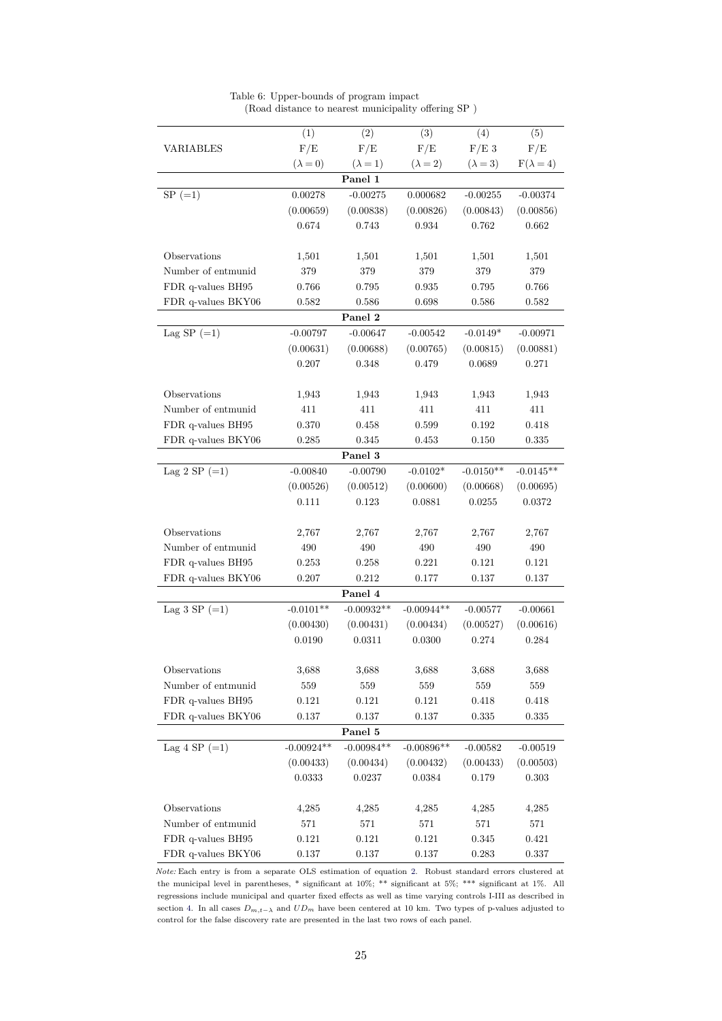<span id="page-24-0"></span>

|                             | (1)             | (2)             | (3)             | (4)             | (5)              |
|-----------------------------|-----------------|-----------------|-----------------|-----------------|------------------|
| VARIABLES                   | F/E             | $\rm F/E$       | F/E             | $F/E$ 3         | F/E              |
|                             | $(\lambda = 0)$ | $(\lambda = 1)$ | $(\lambda = 2)$ | $(\lambda = 3)$ | $F(\lambda = 4)$ |
|                             |                 | Panel 1         |                 |                 |                  |
| $SP (=1)$                   | 0.00278         | $-0.00275$      | 0.000682        | $-0.00255$      | $-0.00374$       |
|                             | (0.00659)       | (0.00838)       | (0.00826)       | (0.00843)       | (0.00856)        |
|                             | 0.674           | 0.743           | 0.934           | 0.762           | 0.662            |
|                             |                 |                 |                 |                 |                  |
| Observations                | 1,501           | 1,501           | 1,501           | 1,501           | 1,501            |
| Number of entmunid          | 379             | 379             | 379             | 379             | 379              |
| FDR q-values BH95           | 0.766           | 0.795           | 0.935           | 0.795           | 0.766            |
| FDR q-values BKY06          | 0.582           | 0.586           | 0.698           | 0.586           | 0.582            |
|                             |                 | Panel 2         |                 |                 |                  |
| Lag SP $(=1)$               | $-0.00797$      | $-0.00647$      | $-0.00542$      | $-0.0149*$      | $-0.00971$       |
|                             | (0.00631)       | (0.00688)       | (0.00765)       | (0.00815)       | (0.00881)        |
|                             | 0.207           | 0.348           | 0.479           | 0.0689          | 0.271            |
|                             |                 |                 |                 |                 |                  |
| Observations                | 1,943           | 1,943           | 1,943           | 1,943           | 1,943            |
| Number of entmunid          | 411             | 411             | 411             | 411             | 411              |
| FDR q-values BH95           | 0.370           | 0.458           | 0.599           | 0.192           | 0.418            |
| FDR q-values BKY06          | 0.285           | 0.345           | 0.453           | 0.150           | 0.335            |
|                             |                 | Panel 3         |                 |                 |                  |
| Lag 2 SP $(=1)$             | $-0.00840$      | $-0.00790$      | $-0.0102*$      | $-0.0150**$     | $-0.0145**$      |
|                             | (0.00526)       | (0.00512)       | (0.00600)       | (0.00668)       | (0.00695)        |
|                             | 0.111           | 0.123           | 0.0881          | 0.0255          | 0.0372           |
|                             |                 |                 |                 |                 |                  |
| Observations                | 2,767           | 2,767           | 2,767           | 2,767           | 2,767            |
| Number of entmunid          | 490             | 490             | 490             | 490             | 490              |
| FDR q-values BH95           | 0.253           | 0.258           | 0.221           | 0.121           | 0.121            |
| FDR q-values BKY06          | 0.207           | 0.212           | 0.177           | 0.137           | 0.137            |
|                             |                 | Panel 4         |                 |                 |                  |
| Lag 3 SP $(=1)$             | $-0.0101**$     | $-0.00932**$    | $-0.00944**$    | $-0.00577$      | $-0.00661$       |
|                             | (0.00430)       | (0.00431)       | (0.00434)       | (0.00527)       | (0.00616)        |
|                             | 0.0190          | 0.0311          | 0.0300          | 0.274           | 0.284            |
|                             |                 |                 |                 |                 |                  |
| Observations                | 3,688           | 3,688           | 3,688           | 3,688           | 3,688            |
| Number of entmunid          | $559\,$         | 559             | 559             | 559             | 559              |
| FDR q-values BH95           | 0.121           | 0.121           | 0.121           | 0.418           | 0.418            |
| FDR q-values BKY06          | 0.137           | $0.137\,$       | 0.137           | $\,0.335\,$     | 0.335            |
|                             |                 | Panel 5         |                 |                 |                  |
| Lag 4 SP $(=1)$             | $-0.00924**$    | $-0.00984**$    | $-0.00896**$    | $-0.00582$      | $-0.00519$       |
|                             | (0.00433)       | (0.00434)       | (0.00432)       | (0.00433)       | (0.00503)        |
|                             | 0.0333          | 0.0237          | 0.0384          | 0.179           | 0.303            |
|                             |                 |                 |                 |                 |                  |
| Observations                | 4,285           | 4,285           | 4,285           | 4,285           | 4,285            |
| $\mbox{Number of entmunid}$ | 571             | $571\,$         | $571\,$         | $571\,$         | 571              |
| FDR q-values BH95           | 0.121           | 0.121           | 0.121           | 0.345           | 0.421            |
| FDR q-values BKY06          | $0.137\,$       | $0.137\,$       | $0.137\,$       | $\,0.283\,$     | $0.337\,$        |

|  | Table 6: Upper-bounds of program impact             |  |
|--|-----------------------------------------------------|--|
|  | (Road distance to nearest municipality offering SP) |  |

*Note:* Each entry is from a separate OLS estimation of equation [2.](#page-20-0) Robust standard errors clustered at the municipal level in parentheses, \* significant at 10%; \*\* significant at 5%; \*\*\* significant at 1%. All regressions include municipal and quarter fixed effects as well as time varying controls I-III as described in section [4.](#page-12-0) In all cases  $D_{m,t-\lambda}$  and  $UD_m$  have been centered at 10 km. Two types of p-values adjusted to control for the false discovery rate are presented in the last two rows of each panel.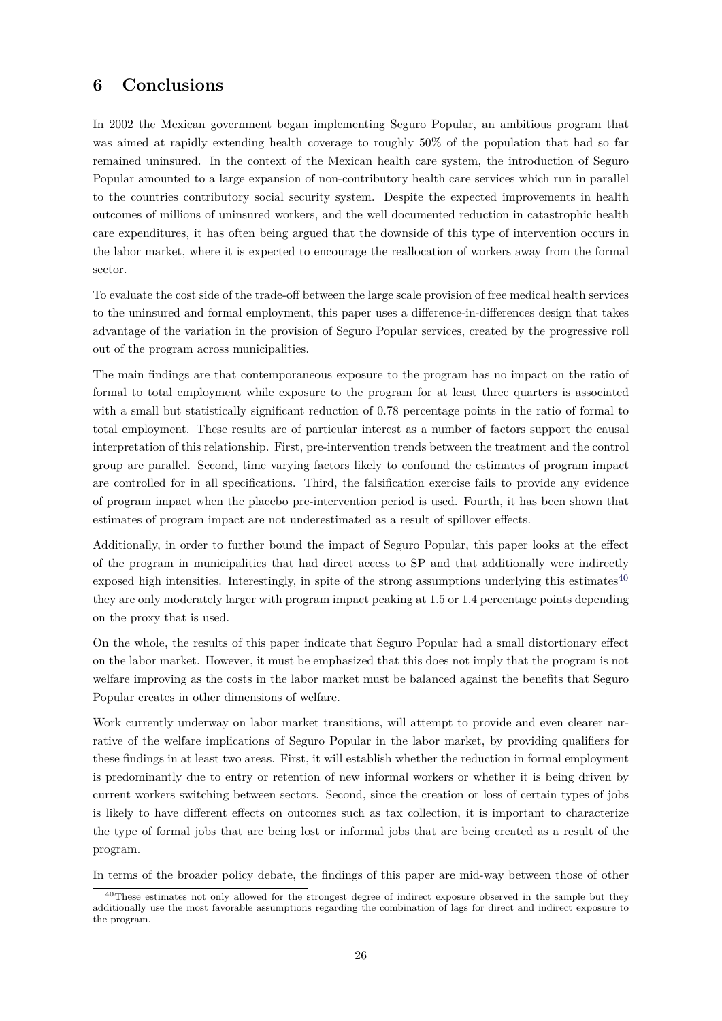# **6 Conclusions**

In 2002 the Mexican government began implementing Seguro Popular, an ambitious program that was aimed at rapidly extending health coverage to roughly 50% of the population that had so far remained uninsured. In the context of the Mexican health care system, the introduction of Seguro Popular amounted to a large expansion of non-contributory health care services which run in parallel to the countries contributory social security system. Despite the expected improvements in health outcomes of millions of uninsured workers, and the well documented reduction in catastrophic health care expenditures, it has often being argued that the downside of this type of intervention occurs in the labor market, where it is expected to encourage the reallocation of workers away from the formal sector.

To evaluate the cost side of the trade-off between the large scale provision of free medical health services to the uninsured and formal employment, this paper uses a difference-in-differences design that takes advantage of the variation in the provision of Seguro Popular services, created by the progressive roll out of the program across municipalities.

The main findings are that contemporaneous exposure to the program has no impact on the ratio of formal to total employment while exposure to the program for at least three quarters is associated with a small but statistically significant reduction of 0.78 percentage points in the ratio of formal to total employment. These results are of particular interest as a number of factors support the causal interpretation of this relationship. First, pre-intervention trends between the treatment and the control group are parallel. Second, time varying factors likely to confound the estimates of program impact are controlled for in all specifications. Third, the falsification exercise fails to provide any evidence of program impact when the placebo pre-intervention period is used. Fourth, it has been shown that estimates of program impact are not underestimated as a result of spillover effects.

Additionally, in order to further bound the impact of Seguro Popular, this paper looks at the effect of the program in municipalities that had direct access to SP and that additionally were indirectly exposed high intensities. Interestingly, in spite of the strong assumptions underlying this estimates $40$ they are only moderately larger with program impact peaking at 1.5 or 1.4 percentage points depending on the proxy that is used.

On the whole, the results of this paper indicate that Seguro Popular had a small distortionary effect on the labor market. However, it must be emphasized that this does not imply that the program is not welfare improving as the costs in the labor market must be balanced against the benefits that Seguro Popular creates in other dimensions of welfare.

Work currently underway on labor market transitions, will attempt to provide and even clearer narrative of the welfare implications of Seguro Popular in the labor market, by providing qualifiers for these findings in at least two areas. First, it will establish whether the reduction in formal employment is predominantly due to entry or retention of new informal workers or whether it is being driven by current workers switching between sectors. Second, since the creation or loss of certain types of jobs is likely to have different effects on outcomes such as tax collection, it is important to characterize the type of formal jobs that are being lost or informal jobs that are being created as a result of the program.

In terms of the broader policy debate, the findings of this paper are mid-way between those of other

<sup>&</sup>lt;sup>40</sup>These estimates not only allowed for the strongest degree of indirect exposure observed in the sample but they additionally use the most favorable assumptions regarding the combination of lags for direct and indirect exposure to the program.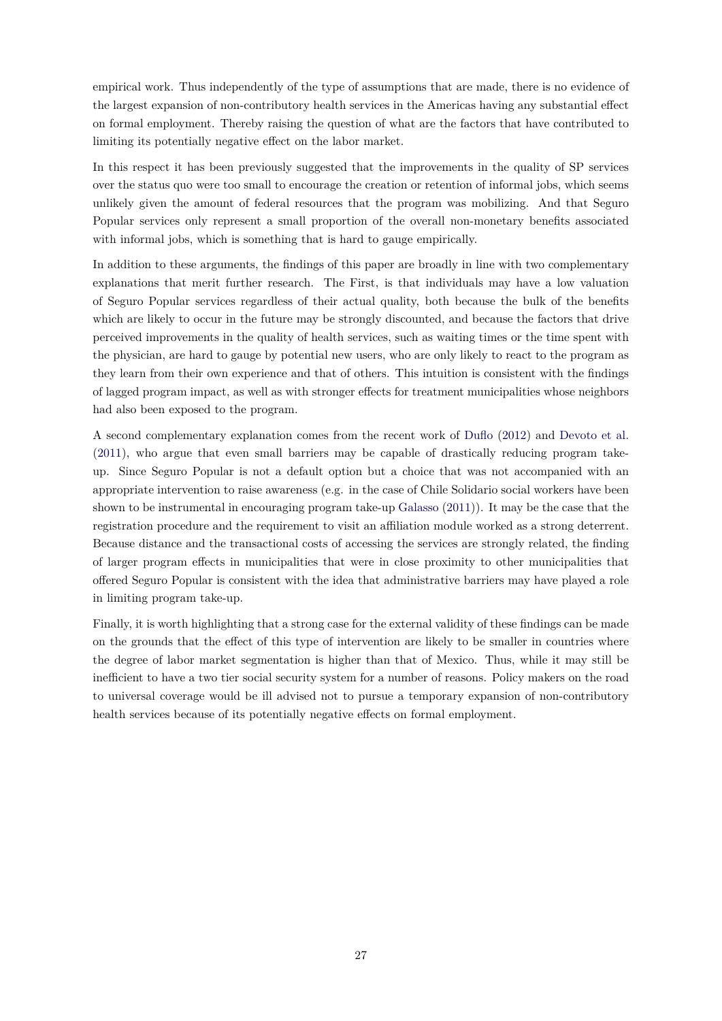empirical work. Thus independently of the type of assumptions that are made, there is no evidence of the largest expansion of non-contributory health services in the Americas having any substantial effect on formal employment. Thereby raising the question of what are the factors that have contributed to limiting its potentially negative effect on the labor market.

In this respect it has been previously suggested that the improvements in the quality of SP services over the status quo were too small to encourage the creation or retention of informal jobs, which seems unlikely given the amount of federal resources that the program was mobilizing. And that Seguro Popular services only represent a small proportion of the overall non-monetary benefits associated with informal jobs, which is something that is hard to gauge empirically.

In addition to these arguments, the findings of this paper are broadly in line with two complementary explanations that merit further research. The First, is that individuals may have a low valuation of Seguro Popular services regardless of their actual quality, both because the bulk of the benefits which are likely to occur in the future may be strongly discounted, and because the factors that drive perceived improvements in the quality of health services, such as waiting times or the time spent with the physician, are hard to gauge by potential new users, who are only likely to react to the program as they learn from their own experience and that of others. This intuition is consistent with the findings of lagged program impact, as well as with stronger effects for treatment municipalities whose neighbors had also been exposed to the program.

A second complementary explanation comes from the recent work of [Duflo](#page-27-12) [\(2012\)](#page-27-12) and [Devoto et al.](#page-27-13) [\(2011\)](#page-27-13), who argue that even small barriers may be capable of drastically reducing program takeup. Since Seguro Popular is not a default option but a choice that was not accompanied with an appropriate intervention to raise awareness (e.g. in the case of Chile Solidario social workers have been shown to be instrumental in encouraging program take-up [Galasso](#page-27-14) [\(2011\)](#page-27-14)). It may be the case that the registration procedure and the requirement to visit an affiliation module worked as a strong deterrent. Because distance and the transactional costs of accessing the services are strongly related, the finding of larger program effects in municipalities that were in close proximity to other municipalities that offered Seguro Popular is consistent with the idea that administrative barriers may have played a role in limiting program take-up.

Finally, it is worth highlighting that a strong case for the external validity of these findings can be made on the grounds that the effect of this type of intervention are likely to be smaller in countries where the degree of labor market segmentation is higher than that of Mexico. Thus, while it may still be inefficient to have a two tier social security system for a number of reasons. Policy makers on the road to universal coverage would be ill advised not to pursue a temporary expansion of non-contributory health services because of its potentially negative effects on formal employment.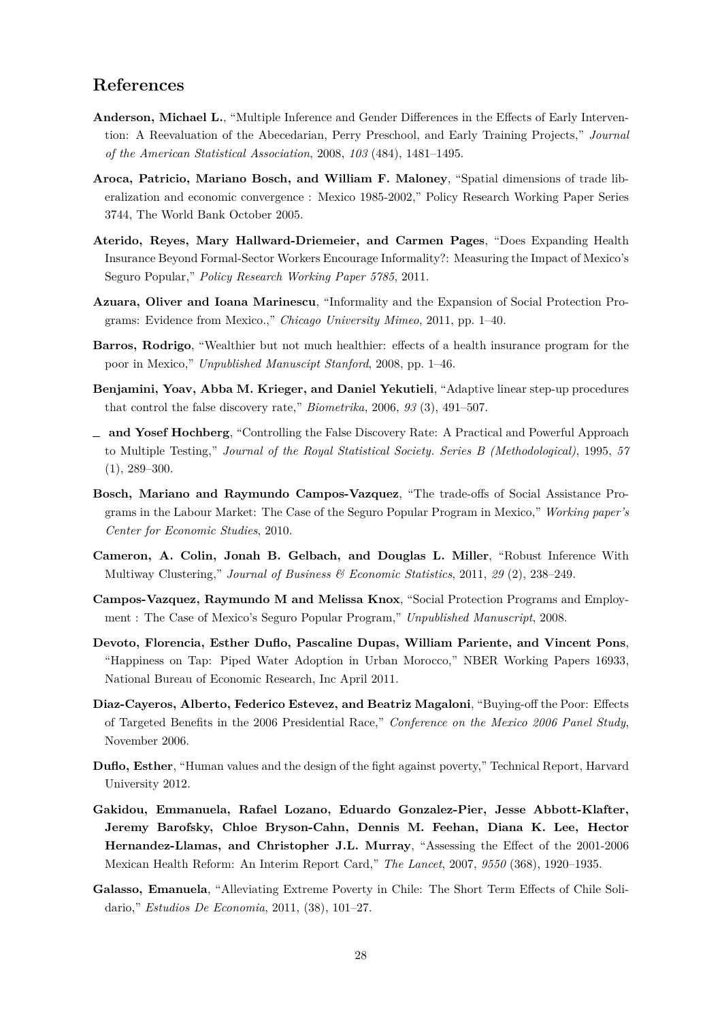#### **References**

- <span id="page-27-9"></span>**Anderson, Michael L.**, "Multiple Inference and Gender Differences in the Effects of Early Intervention: A Reevaluation of the Abecedarian, Perry Preschool, and Early Training Projects," *Journal of the American Statistical Association*, 2008, *103* (484), 1481–1495.
- <span id="page-27-8"></span>**Aroca, Patricio, Mariano Bosch, and William F. Maloney**, "Spatial dimensions of trade liberalization and economic convergence : Mexico 1985-2002," Policy Research Working Paper Series 3744, The World Bank October 2005.
- <span id="page-27-5"></span>**Aterido, Reyes, Mary Hallward-Driemeier, and Carmen Pages**, "Does Expanding Health Insurance Beyond Formal-Sector Workers Encourage Informality?: Measuring the Impact of Mexico's Seguro Popular," *Policy Research Working Paper 5785*, 2011.
- <span id="page-27-0"></span>**Azuara, Oliver and Ioana Marinescu**, "Informality and the Expansion of Social Protection Programs: Evidence from Mexico.," *Chicago University Mimeo*, 2011, pp. 1–40.
- <span id="page-27-2"></span>**Barros, Rodrigo**, "Wealthier but not much healthier: effects of a health insurance program for the poor in Mexico," *Unpublished Manuscipt Stanford*, 2008, pp. 1–46.
- <span id="page-27-11"></span>**Benjamini, Yoav, Abba M. Krieger, and Daniel Yekutieli**, "Adaptive linear step-up procedures that control the false discovery rate," *Biometrika*, 2006, *93* (3), 491–507.
- <span id="page-27-10"></span>**and Yosef Hochberg**, "Controlling the False Discovery Rate: A Practical and Powerful Approach to Multiple Testing," *Journal of the Royal Statistical Society. Series B (Methodological)*, 1995, *57*  $(1), 289-300.$
- <span id="page-27-4"></span>**Bosch, Mariano and Raymundo Campos-Vazquez**, "The trade-offs of Social Assistance Programs in the Labour Market: The Case of the Seguro Popular Program in Mexico," *Working paper's Center for Economic Studies*, 2010.
- <span id="page-27-7"></span>**Cameron, A. Colin, Jonah B. Gelbach, and Douglas L. Miller**, "Robust Inference With Multiway Clustering," *Journal of Business & Economic Statistics*, 2011, *29* (2), 238–249.
- <span id="page-27-3"></span>**Campos-Vazquez, Raymundo M and Melissa Knox**, "Social Protection Programs and Employment : The Case of Mexico's Seguro Popular Program," *Unpublished Manuscript*, 2008.
- <span id="page-27-13"></span>**Devoto, Florencia, Esther Duflo, Pascaline Dupas, William Pariente, and Vincent Pons**, "Happiness on Tap: Piped Water Adoption in Urban Morocco," NBER Working Papers 16933, National Bureau of Economic Research, Inc April 2011.
- <span id="page-27-6"></span>**Diaz-Cayeros, Alberto, Federico Estevez, and Beatriz Magaloni**, "Buying-off the Poor: Effects of Targeted Benefits in the 2006 Presidential Race," *Conference on the Mexico 2006 Panel Study*, November 2006.
- <span id="page-27-12"></span>**Duflo, Esther**, "Human values and the design of the fight against poverty," Technical Report, Harvard University 2012.
- <span id="page-27-1"></span>**Gakidou, Emmanuela, Rafael Lozano, Eduardo Gonzalez-Pier, Jesse Abbott-Klafter, Jeremy Barofsky, Chloe Bryson-Cahn, Dennis M. Feehan, Diana K. Lee, Hector Hernandez-Llamas, and Christopher J.L. Murray**, "Assessing the Effect of the 2001-2006 Mexican Health Reform: An Interim Report Card," *The Lancet*, 2007, *9550* (368), 1920–1935.
- <span id="page-27-14"></span>**Galasso, Emanuela**, "Alleviating Extreme Poverty in Chile: The Short Term Effects of Chile Solidario," *Estudios De Economia*, 2011, (38), 101–27.